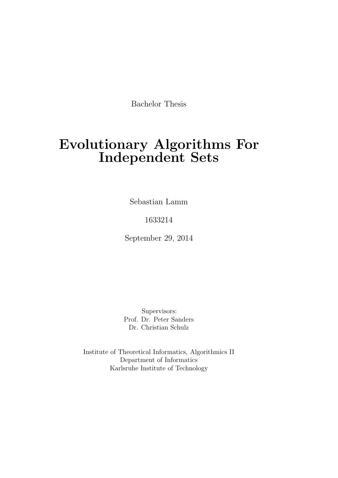Bachelor Thesis

# Evolutionary Algorithms For Independent Sets

Sebastian Lamm

1633214

September 29, 2014

Supervisors: Prof. Dr. Peter Sanders Dr. Christian Schulz

Institute of Theoretical Informatics, Algorithmics II Department of Informatics Karlsruhe Institute of Technology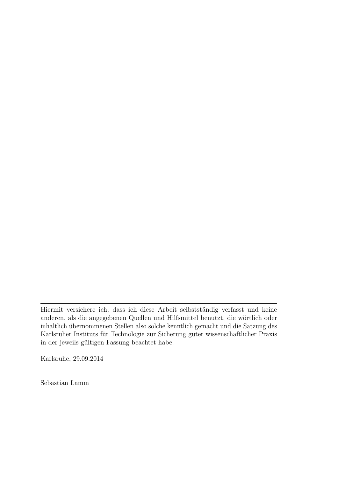Karlsruhe, 29.09.2014

Sebastian Lamm

Hiermit versichere ich, dass ich diese Arbeit selbstständig verfasst und keine anderen, als die angegebenen Quellen und Hilfsmittel benutzt, die wörtlich oder inhaltlich übernommenen Stellen also solche kenntlich gemacht und die Satzung des Karlsruher Instituts für Technologie zur Sicherung guter wissenschaftlicher Praxis in der jeweils gültigen Fassung beachtet habe.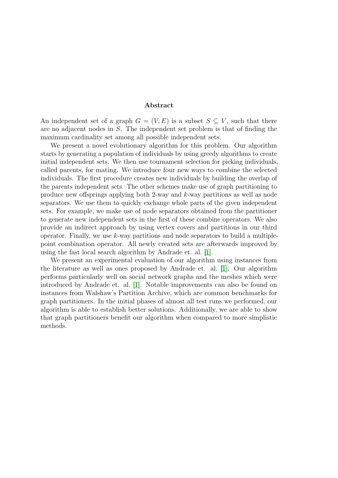#### Abstract

An independent set of a graph  $G = (V, E)$  is a subset  $S \subseteq V$ , such that there are no adjacent nodes in S. The independent set problem is that of finding the maximum cardinality set among all possible independent sets.

We present a novel evolutionary algorithm for this problem. Our algorithm starts by generating a population of individuals by using greedy algorithms to create initial independent sets. We then use tournament selection for picking individuals, called parents, for mating. We introduce four new ways to combine the selected individuals. The first procedure creates new individuals by building the overlap of the parents independent sets. The other schemes make use of graph partitioning to produce new offsprings applying both 2-way and k-way partitions as well as node separators. We use them to quickly exchange whole parts of the given independent sets. For example, we make use of node separators obtained from the partitioner to generate new independent sets in the first of these combine operators. We also provide an indirect approach by using vertex covers and partitions in our third operator. Finally, we use  $k$ -way partitions and node separators to build a multiplepoint combination operator. All newly created sets are afterwards improved by using the fast local search algorithm by Andrade et. al. [\[1\]](#page-74-0).

We present an experimental evaluation of our algorithm using instances from the literature as well as ones proposed by Andrade et. al. [\[1\]](#page-74-0). Our algorithm performs particularly well on social network graphs and the meshes which were introduced by Andrade et. al. [\[1\]](#page-74-0). Notable improvements can also be found on instances from Walshaw's Partition Archive, which are common benchmarks for graph partitioners. In the initial phases of almost all test runs we performed, our algorithm is able to establish better solutions. Additionally, we are able to show that graph partitioners benefit our algorithm when compared to more simplistic methods.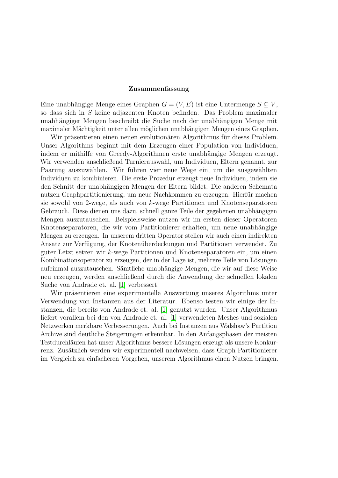#### Zusammenfassung

Eine unabhängige Menge eines Graphen  $G = (V, E)$  ist eine Untermenge  $S \subseteq V$ , so dass sich in S keine adjazenten Knoten befinden. Das Problem maximaler unabhängiger Mengen beschreibt die Suche nach der unabhängigen Menge mit maximaler Mächtigkeit unter allen möglichen unabhängigen Mengen eines Graphen.

Wir präsentieren einen neuen evolutionären Algorithmus für dieses Problem. Unser Algorithms beginnt mit dem Erzeugen einer Population von Individuen, indem er mithilfe von Greedy-Algorithmen erste unabhängige Mengen erzeugt. Wir verwenden anschließend Turnierauswahl, um Individuen, Eltern genannt, zur Paarung auszuwählen. Wir führen vier neue Wege ein, um die ausgewählten Individuen zu kombinieren. Die erste Prozedur erzeugt neue Individuen, indem sie den Schnitt der unabhängigen Mengen der Eltern bildet. Die anderen Schemata nutzen Graphpartitionierung, um neue Nachkommen zu erzeugen. Hierfür machen sie sowohl von 2-wege, als auch von k-wege Partitionen und Knotenseparatoren Gebrauch. Diese dienen uns dazu, schnell ganze Teile der gegebenen unabhängigen Mengen auszutauschen. Beispielsweise nutzen wir im ersten dieser Operatoren Knotenseparatoren, die wir vom Partitionierer erhalten, um neue unabhängige Mengen zu erzeugen. In unserem dritten Operator stellen wir auch einen indirekten Ansatz zur Verfügung, der Knotenüberdeckungen und Partitionen verwendet. Zu guter Letzt setzen wir k-wege Partitionen und Knotenseparatoren ein, um einen Kombinationsoperator zu erzeugen, der in der Lage ist, mehrere Teile von Lösungen aufeinmal auszutauschen. Sämtliche unabhängige Mengen, die wir auf diese Weise neu erzeugen, werden anschließend durch die Anwendung der schnellen lokalen Suche von Andrade et. al. [\[1\]](#page-74-0) verbessert.

Wir präsentieren eine experimentelle Auswertung unseres Algorithms unter Verwendung von Instanzen aus der Literatur. Ebenso testen wir einige der Instanzen, die bereits von Andrade et. al. [\[1\]](#page-74-0) genutzt wurden. Unser Algorithmus liefert vorallem bei den von Andrade et. al. [\[1\]](#page-74-0) verwendeten Meshes und sozialen Netzwerken merkbare Verbesserungen. Auch bei Instanzen aus Walshaw's Partition Archive sind deutliche Steigerungen erkennbar. In den Anfangsphasen der meisten Testdurchläufen hat unser Algorithmus bessere Lösungen erzeugt als unsere Konkurrenz. Zusätzlich werden wir experimentell nachweisen, dass Graph Partitionierer im Vergleich zu einfacheren Vorgehen, unserem Algorithmus einen Nutzen bringen.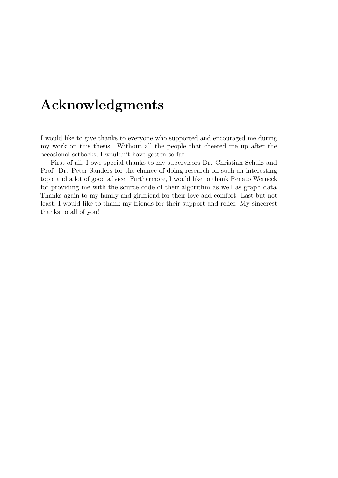# Acknowledgments

I would like to give thanks to everyone who supported and encouraged me during my work on this thesis. Without all the people that cheered me up after the occasional setbacks, I wouldn't have gotten so far.

First of all, I owe special thanks to my supervisors Dr. Christian Schulz and Prof. Dr. Peter Sanders for the chance of doing research on such an interesting topic and a lot of good advice. Furthermore, I would like to thank Renato Werneck for providing me with the source code of their algorithm as well as graph data. Thanks again to my family and girlfriend for their love and comfort. Last but not least, I would like to thank my friends for their support and relief. My sincerest thanks to all of you!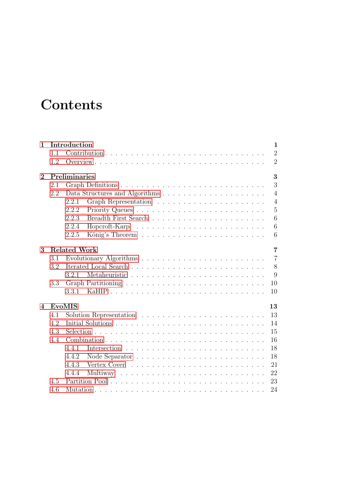# **Contents**

| $\mathbf{1}$   |                    | Introduction<br>$\mathbf{1}$          |  |  |  |
|----------------|--------------------|---------------------------------------|--|--|--|
|                | 1.1                | $\overline{2}$                        |  |  |  |
|                | 1.2                | $\overline{2}$                        |  |  |  |
| $\mathbf{2}$   | Preliminaries<br>3 |                                       |  |  |  |
|                | 2.1                | 3                                     |  |  |  |
|                | 2.2                | $\overline{4}$                        |  |  |  |
|                |                    | $\overline{4}$<br>2.2.1               |  |  |  |
|                |                    | $\overline{5}$<br>2.2.2               |  |  |  |
|                |                    | 2.2.3<br>6                            |  |  |  |
|                |                    | 6<br>2.2.4                            |  |  |  |
|                |                    | 2.2.5<br>6                            |  |  |  |
| 3              |                    | <b>Related Work</b><br>$\overline{7}$ |  |  |  |
|                | 3.1                | $\overline{7}$                        |  |  |  |
|                | 3.2                | 8                                     |  |  |  |
|                |                    | 9<br>3.2.1                            |  |  |  |
|                | 3.3                | 10                                    |  |  |  |
|                |                    | 3.3.1<br>10                           |  |  |  |
| $\overline{4}$ |                    | <b>EvoMIS</b><br>13                   |  |  |  |
|                | 4.1                | 13                                    |  |  |  |
|                | 4.2                | 14                                    |  |  |  |
|                | 4.3                | 15                                    |  |  |  |
|                | 4.4                | 16                                    |  |  |  |
|                |                    | 4.4.1<br>18                           |  |  |  |
|                |                    | 18<br>4.4.2                           |  |  |  |
|                |                    | 4.4.3<br>21                           |  |  |  |
|                |                    | 22<br>4.4.4                           |  |  |  |
|                | 4.5                | 23                                    |  |  |  |
|                | 4.6                | 24                                    |  |  |  |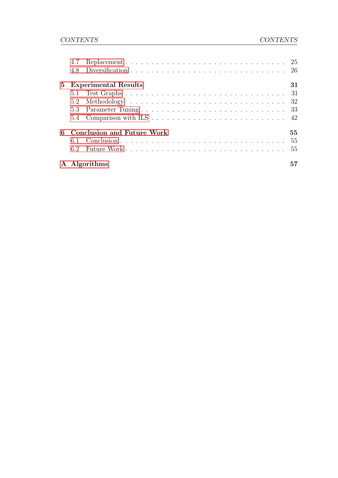|                | 4.7 |                                   |        |
|----------------|-----|-----------------------------------|--------|
|                | 4.8 |                                   |        |
| 5 <sup>5</sup> |     | <b>Experimental Results</b>       | 31     |
|                |     |                                   |        |
|                |     |                                   |        |
|                |     |                                   |        |
|                |     |                                   |        |
| 6              |     | <b>Conclusion and Future Work</b> | $55\,$ |
|                |     |                                   | -55    |
|                | 6.2 |                                   | -55    |
|                |     | A Algorithms                      |        |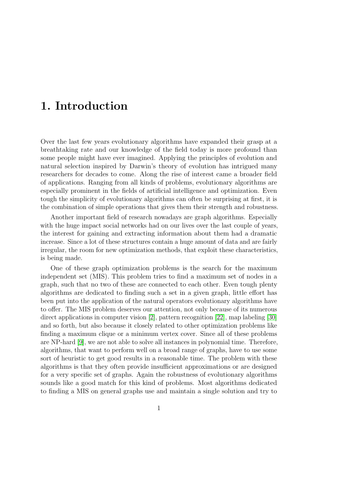# <span id="page-12-0"></span>1. Introduction

Over the last few years evolutionary algorithms have expanded their grasp at a breathtaking rate and our knowledge of the field today is more profound than some people might have ever imagined. Applying the principles of evolution and natural selection inspired by Darwin's theory of evolution has intrigued many researchers for decades to come. Along the rise of interest came a broader field of applications. Ranging from all kinds of problems, evolutionary algorithms are especially prominent in the fields of artificial intelligence and optimization. Even tough the simplicity of evolutionary algorithms can often be surprising at first, it is the combination of simple operations that gives them their strength and robustness.

Another important field of research nowadays are graph algorithms. Especially with the huge impact social networks had on our lives over the last couple of years, the interest for gaining and extracting information about them had a dramatic increase. Since a lot of these structures contain a huge amount of data and are fairly irregular, the room for new optimization methods, that exploit these characteristics, is being made.

One of these graph optimization problems is the search for the maximum independent set (MIS). This problem tries to find a maximum set of nodes in a graph, such that no two of these are connected to each other. Even tough plenty algorithms are dedicated to finding such a set in a given graph, little effort has been put into the application of the natural operators evolutionary algorithms have to offer. The MIS problem deserves our attention, not only because of its numerous direct applications in computer vision [\[2\]](#page-74-1), pattern recognition [\[22\]](#page-76-0), map labeling [\[30\]](#page-76-1) and so forth, but also because it closely related to other optimization problems like finding a maximum clique or a minimum vertex cover. Since all of these problems are NP-hard [\[9\]](#page-74-2), we are not able to solve all instances in polynomial time. Therefore, algorithms, that want to perform well on a broad range of graphs, have to use some sort of heuristic to get good results in a reasonable time. The problem with these algorithms is that they often provide insufficient approximations or are designed for a very specific set of graphs. Again the robustness of evolutionary algorithms sounds like a good match for this kind of problems. Most algorithms dedicated to finding a MIS on general graphs use and maintain a single solution and try to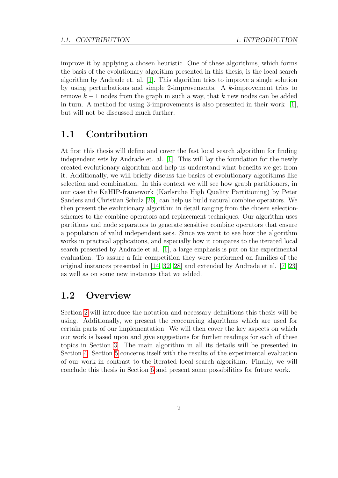improve it by applying a chosen heuristic. One of these algorithms, which forms the basis of the evolutionary algorithm presented in this thesis, is the local search algorithm by Andrade et. al. [\[1\]](#page-74-0). This algorithm tries to improve a single solution by using perturbations and simple 2-improvements. A  $k$ -improvement tries to remove  $k-1$  nodes from the graph in such a way, that k new nodes can be added in turn. A method for using 3-improvements is also presented in their work [\[1\]](#page-74-0), but will not be discussed much further.

# <span id="page-13-0"></span>1.1 Contribution

At first this thesis will define and cover the fast local search algorithm for finding independent sets by Andrade et. al. [\[1\]](#page-74-0). This will lay the foundation for the newly created evolutionary algorithm and help us understand what benefits we get from it. Additionally, we will briefly discuss the basics of evolutionary algorithms like selection and combination. In this context we will see how graph partitioners, in our case the KaHIP-framework (Karlsruhe High Quality Partitioning) by Peter Sanders and Christian Schulz [\[26\]](#page-76-2), can help us build natural combine operators. We then present the evolutionary algorithm in detail ranging from the chosen selectionschemes to the combine operators and replacement techniques. Our algorithm uses partitions and node separators to generate sensitive combine operators that ensure a population of valid independent sets. Since we want to see how the algorithm works in practical applications, and especially how it compares to the iterated local search presented by Andrade et al. [\[1\]](#page-74-0), a large emphasis is put on the experimental evaluation. To assure a fair competition they were performed on families of the original instances presented in [\[14,](#page-75-0) [32,](#page-76-3) [28\]](#page-76-4) and extended by Andrade et al. [\[7,](#page-74-3) [23\]](#page-76-5) as well as on some new instances that we added.

## <span id="page-13-1"></span>1.2 Overview

Section [2](#page-14-0) will introduce the notation and necessary definitions this thesis will be using. Additionally, we present the reoccurring algorithms which are used for certain parts of our implementation. We will then cover the key aspects on which our work is based upon and give suggestions for further readings for each of these topics in Section [3.](#page-18-0) The main algorithm in all its details will be presented in Section [4.](#page-24-0) Section [5](#page-42-0) concerns itself with the results of the experimental evaluation of our work in contrast to the iterated local search algorithm. Finally, we will conclude this thesis in Section [6](#page-66-0) and present some possibilities for future work.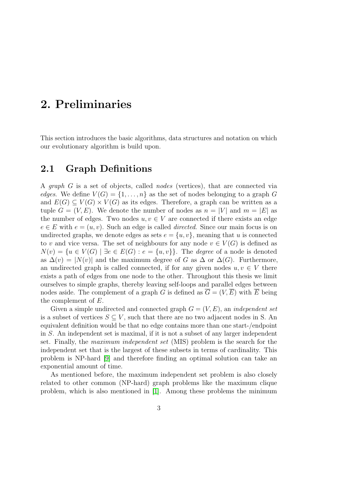# <span id="page-14-0"></span>2. Preliminaries

<span id="page-14-1"></span>This section introduces the basic algorithms, data structures and notation on which our evolutionary algorithm is build upon.

## 2.1 Graph Definitions

A graph G is a set of objects, called nodes (vertices), that are connected via edges. We define  $V(G) = \{1, \ldots, n\}$  as the set of nodes belonging to a graph G and  $E(G) \subseteq V(G) \times V(G)$  as its edges. Therefore, a graph can be written as a tuple  $G = (V, E)$ . We denote the number of nodes as  $n = |V|$  and  $m = |E|$  as the number of edges. Two nodes  $u, v \in V$  are connected if there exists an edge  $e \in E$  with  $e = (u, v)$ . Such an edge is called *directed*. Since our main focus is on undirected graphs, we denote edges as sets  $e = \{u, v\}$ , meaning that u is connected to v and vice versa. The set of neighbours for any node  $v \in V(G)$  is defined as  $N(v) = \{u \in V(G) \mid \exists e \in E(G) : e = \{u, v\}\}.$  The *degree* of a node is denoted as  $\Delta(v) = |N(v)|$  and the maximum degree of G as  $\Delta$  or  $\Delta(G)$ . Furthermore, an undirected graph is called connected, if for any given nodes  $u, v \in V$  there exists a path of edges from one node to the other. Throughout this thesis we limit ourselves to simple graphs, thereby leaving self-loops and parallel edges between nodes aside. The complement of a graph G is defined as  $\overline{G} = (V, \overline{E})$  with  $\overline{E}$  being the complement of E.

Given a simple undirected and connected graph  $G = (V, E)$ , an *independent set* is a subset of vertices  $S \subseteq V$ , such that there are no two adjacent nodes in S. An equivalent definition would be that no edge contains more than one start-/endpoint in S. An independent set is maximal, if it is not a subset of any larger independent set. Finally, the maximum independent set (MIS) problem is the search for the independent set that is the largest of these subsets in terms of cardinality. This problem is NP-hard [\[9\]](#page-74-2) and therefore finding an optimal solution can take an exponential amount of time.

As mentioned before, the maximum independent set problem is also closely related to other common (NP-hard) graph problems like the maximum clique problem, which is also mentioned in [\[1\]](#page-74-0). Among these problems the minimum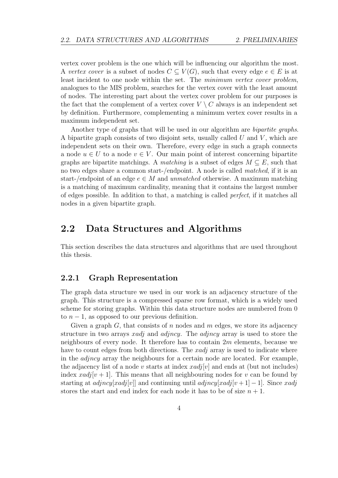vertex cover problem is the one which will be influencing our algorithm the most. A vertex cover is a subset of nodes  $C \subseteq V(G)$ , such that every edge  $e \in E$  is at least incident to one node within the set. The minimum vertex cover problem, analogues to the MIS problem, searches for the vertex cover with the least amount of nodes. The interesting part about the vertex cover problem for our purposes is the fact that the complement of a vertex cover  $V \setminus C$  always is an independent set by definition. Furthermore, complementing a minimum vertex cover results in a maximum independent set.

Another type of graphs that will be used in our algorithm are *bipartite graphs*. A bipartite graph consists of two disjoint sets, usually called  $U$  and  $V$ , which are independent sets on their own. Therefore, every edge in such a graph connects a node  $u \in U$  to a node  $v \in V$ . Our main point of interest concerning bipartite graphs are bipartite matchings. A matching is a subset of edges  $M \subseteq E$ , such that no two edges share a common start-/endpoint. A node is called *matched*, if it is an start-/endpoint of an edge  $e \in M$  and unmatched otherwise. A maximum matching is a matching of maximum cardinality, meaning that it contains the largest number of edges possible. In addition to that, a matching is called perfect, if it matches all nodes in a given bipartite graph.

# <span id="page-15-0"></span>2.2 Data Structures and Algorithms

<span id="page-15-1"></span>This section describes the data structures and algorithms that are used throughout this thesis.

#### 2.2.1 Graph Representation

The graph data structure we used in our work is an adjacency structure of the graph. This structure is a compressed sparse row format, which is a widely used scheme for storing graphs. Within this data structure nodes are numbered from 0 to  $n-1$ , as opposed to our previous definition.

Given a graph  $G$ , that consists of n nodes and m edges, we store its adjacency structure in two arrays *xadj* and *adjncy*. The *adjncy* array is used to store the neighbours of every node. It therefore has to contain  $2m$  elements, because we have to count edges from both directions. The *xadj* array is used to indicate where in the  $adjncy$  array the neighbours for a certain node are located. For example, the adjacency list of a node v starts at index  $xadj[v]$  and ends at (but not includes) index  $\text{rad}_l[v+1]$ . This means that all neighbouring nodes for v can be found by starting at *adjncy*[xadj[v]] and continuing until *adjncy*[xadj[v + 1] – 1]. Since xadj stores the start and end index for each node it has to be of size  $n + 1$ .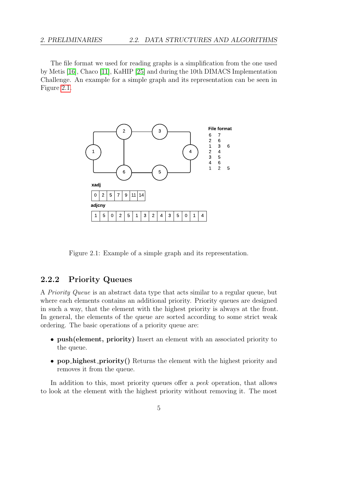The file format we used for reading graphs is a simplification from the one used by Metis [\[16\]](#page-75-1), Chaco [\[11\]](#page-75-2), KaHIP [\[25\]](#page-76-6) and during the 10th DIMACS Implementation Challenge. An example for a simple graph and its representation can be seen in Figure [2.1.](#page-16-1)



<span id="page-16-1"></span>Figure 2.1: Example of a simple graph and its representation.

#### <span id="page-16-0"></span>2.2.2 Priority Queues

A Priority Queue is an abstract data type that acts similar to a regular queue, but where each elements contains an additional priority. Priority queues are designed in such a way, that the element with the highest priority is always at the front. In general, the elements of the queue are sorted according to some strict weak ordering. The basic operations of a priority queue are:

- push(element, priority) Insert an element with an associated priority to the queue.
- pop highest priority() Returns the element with the highest priority and removes it from the queue.

In addition to this, most priority queues offer a peek operation, that allows to look at the element with the highest priority without removing it. The most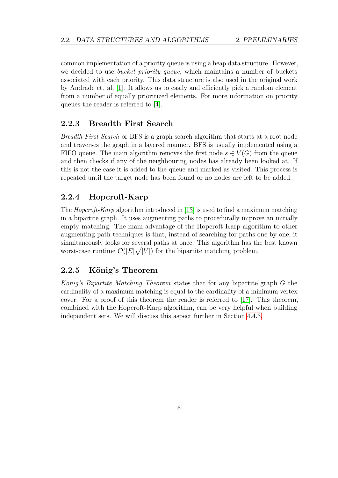common implementation of a priority queue is using a heap data structure. However, we decided to use *bucket priority queue*, which maintains a number of buckets associated with each priority. This data structure is also used in the original work by Andrade et. al. [\[1\]](#page-74-0). It allows us to easily and efficiently pick a random element from a number of equally prioritized elements. For more information on priority queues the reader is referred to [\[4\]](#page-74-4).

#### <span id="page-17-0"></span>2.2.3 Breadth First Search

Breadth First Search or BFS is a graph search algorithm that starts at a root node and traverses the graph in a layered manner. BFS is usually implemented using a FIFO queue. The main algorithm removes the first node  $s \in V(G)$  from the queue and then checks if any of the neighbouring nodes has already been looked at. If this is not the case it is added to the queue and marked as visited. This process is repeated until the target node has been found or no nodes are left to be added.

#### <span id="page-17-1"></span>2.2.4 Hopcroft-Karp

The Hopcroft-Karp algorithm introduced in [\[13\]](#page-75-3) is used to find a maximum matching in a bipartite graph. It uses augmenting paths to procedurally improve an initially empty matching. The main advantage of the Hopcroft-Karp algorithm to other augmenting path techniques is that, instead of searching for paths one by one, it simultaneously looks for several paths at once. This algorithm has the best known worst-case runtime  $\mathcal{O}(|E|\sqrt{|V|})$  for the bipartite matching problem.

#### <span id="page-17-2"></span>2.2.5 König's Theorem

König's Bipartite Matching Theorem states that for any bipartite graph  $G$  the cardinality of a maximum matching is equal to the cardinality of a minimum vertex cover. For a proof of this theorem the reader is referred to [\[17\]](#page-75-4). This theorem, combined with the Hopcroft-Karp algorithm, can be very helpful when building independent sets. We will discuss this aspect further in Section [4.4.3.](#page-31-0)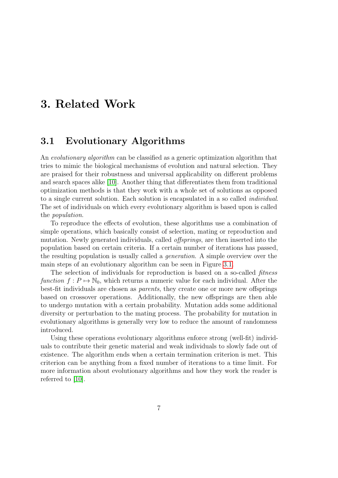# <span id="page-18-0"></span>3. Related Work

# <span id="page-18-1"></span>3.1 Evolutionary Algorithms

An evolutionary algorithm can be classified as a generic optimization algorithm that tries to mimic the biological mechanisms of evolution and natural selection. They are praised for their robustness and universal applicability on different problems and search spaces alike [\[10\]](#page-75-5). Another thing that differentiates them from traditional optimization methods is that they work with a whole set of solutions as opposed to a single current solution. Each solution is encapsulated in a so called individual. The set of individuals on which every evolutionary algorithm is based upon is called the population.

To reproduce the effects of evolution, these algorithms use a combination of simple operations, which basically consist of selection, mating or reproduction and mutation. Newly generated individuals, called *offsprings*, are then inserted into the population based on certain criteria. If a certain number of iterations has passed, the resulting population is usually called a generation. A simple overview over the main steps of an evolutionary algorithm can be seen in Figure [3.1.](#page-19-0)

The selection of individuals for reproduction is based on a so-called *fitness* function  $f: P \mapsto \mathbb{N}_0$ , which returns a numeric value for each individual. After the best-fit individuals are chosen as parents, they create one or more new offsprings based on crossover operations. Additionally, the new offsprings are then able to undergo mutation with a certain probability. Mutation adds some additional diversity or perturbation to the mating process. The probability for mutation in evolutionary algorithms is generally very low to reduce the amount of randomness introduced.

<span id="page-18-2"></span>Using these operations evolutionary algorithms enforce strong (well-fit) individuals to contribute their genetic material and weak individuals to slowly fade out of existence. The algorithm ends when a certain termination criterion is met. This criterion can be anything from a fixed number of iterations to a time limit. For more information about evolutionary algorithms and how they work the reader is referred to [\[10\]](#page-75-5).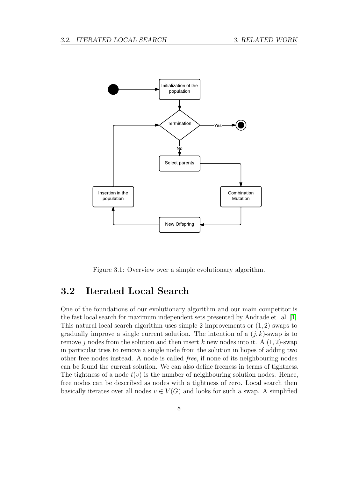

<span id="page-19-0"></span>Figure 3.1: Overview over a simple evolutionary algorithm.

# 3.2 Iterated Local Search

One of the foundations of our evolutionary algorithm and our main competitor is the fast local search for maximum independent sets presented by Andrade et. al. [\[1\]](#page-74-0). This natural local search algorithm uses simple 2-improvements or  $(1, 2)$ -swaps to gradually improve a single current solution. The intention of a  $(j, k)$ -swap is to remove j nodes from the solution and then insert k new nodes into it. A  $(1, 2)$ -swap in particular tries to remove a single node from the solution in hopes of adding two other free nodes instead. A node is called free, if none of its neighbouring nodes can be found the current solution. We can also define freeness in terms of tightness. The tightness of a node  $t(v)$  is the number of neighbouring solution nodes. Hence, free nodes can be described as nodes with a tightness of zero. Local search then basically iterates over all nodes  $v \in V(G)$  and looks for such a swap. A simplified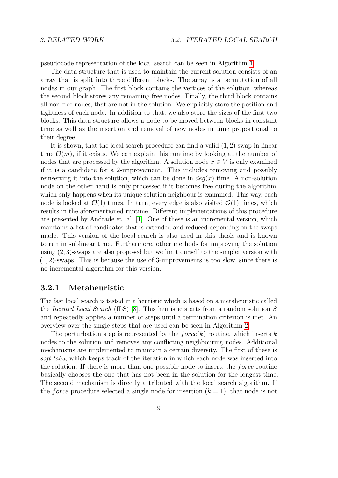pseudocode representation of the local search can be seen in Algorithm [1.](#page-68-1)

The data structure that is used to maintain the current solution consists of an array that is split into three different blocks. The array is a permutation of all nodes in our graph. The first block contains the vertices of the solution, whereas the second block stores any remaining free nodes. Finally, the third block contains all non-free nodes, that are not in the solution. We explicitly store the position and tightness of each node. In addition to that, we also store the sizes of the first two blocks. This data structure allows a node to be moved between blocks in constant time as well as the insertion and removal of new nodes in time proportional to their degree.

It is shown, that the local search procedure can find a valid  $(1, 2)$ -swap in linear time  $\mathcal{O}(m)$ , if it exists. We can explain this runtime by looking at the number of nodes that are processed by the algorithm. A solution node  $x \in V$  is only examined if it is a candidate for a 2-improvement. This includes removing and possibly reinserting it into the solution, which can be done in  $deg(x)$  time. A non-solution node on the other hand is only processed if it becomes free during the algorithm, which only happens when its unique solution neighbour is examined. This way, each node is looked at  $\mathcal{O}(1)$  times. In turn, every edge is also visited  $\mathcal{O}(1)$  times, which results in the aforementioned runtime. Different implementations of this procedure are presented by Andrade et. al. [\[1\]](#page-74-0). One of these is an incremental version, which maintains a list of candidates that is extended and reduced depending on the swaps made. This version of the local search is also used in this thesis and is known to run in sublinear time. Furthermore, other methods for improving the solution using (2, 3)-swaps are also proposed but we limit ourself to the simpler version with (1, 2)-swaps. This is because the use of 3-improvements is too slow, since there is no incremental algorithm for this version.

#### <span id="page-20-0"></span>3.2.1 Metaheuristic

The fast local search is tested in a heuristic which is based on a metaheuristic called the Iterated Local Search (ILS) [\[8\]](#page-74-5). This heuristic starts from a random solution S and repeatedly applies a number of steps until a termination criterion is met. An overview over the single steps that are used can be seen in Algorithm [2.](#page-68-2)

The perturbation step is represented by the  $force(k)$  routine, which inserts k nodes to the solution and removes any conflicting neighbouring nodes. Additional mechanisms are implemented to maintain a certain diversity. The first of these is soft tabu, which keeps track of the iteration in which each node was inserted into the solution. If there is more than one possible node to insert, the force routine basically chooses the one that has not been in the solution for the longest time. The second mechanism is directly attributed with the local search algorithm. If the *force* procedure selected a single node for insertion  $(k = 1)$ , that node is not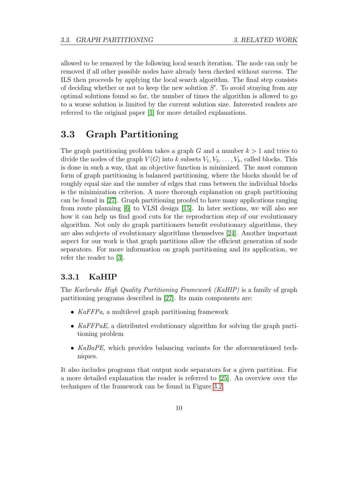allowed to be removed by the following local search iteration. The node can only be removed if all other possible nodes have already been checked without success. The ILS then proceeds by applying the local search algorithm. The final step consists of deciding whether or not to keep the new solution  $S'$ . To avoid straying from any optimal solutions found so far, the number of times the algorithm is allowed to go to a worse solution is limited by the current solution size. Interested readers are referred to the original paper [\[1\]](#page-74-0) for more detailed explanations.

# <span id="page-21-0"></span>3.3 Graph Partitioning

The graph partitioning problem takes a graph G and a number  $k > 1$  and tries to divide the nodes of the graph  $V(G)$  into k subsets  $V_1, V_2, \ldots, V_k$ , called blocks. This is done in such a way, that an objective function is minimized. The most common form of graph partitioning is balanced partitioning, where the blocks should be of roughly equal size and the number of edges that runs between the individual blocks is the minimization criterion. A more thorough explanation on graph partitioning can be found in [\[27\]](#page-76-7). Graph partitioning proofed to have many applications ranging from route planning [\[6\]](#page-74-6) to VLSI design [\[15\]](#page-75-6). In later sections, we will also see how it can help us find good cuts for the reproduction step of our evolutionary algorithm. Not only do graph partitioners benefit evolutionary algorithms, they are also subjects of evolutionary algorithms themselves [\[24\]](#page-76-8). Another important aspect for our work is that graph partitions allow the efficient generation of node separators. For more information on graph partitioning and its application, we refer the reader to [\[3\]](#page-74-7).

#### <span id="page-21-1"></span>3.3.1 KaHIP

The Karlsruhe High Quality Partitioning Framework (KaHIP) is a family of graph partitioning programs described in [\[27\]](#page-76-7). Its main components are:

- KaFFPa, a multilevel graph partitioning framework
- KaFFPaE, a distributed evolutionary algorithm for solving the graph partitioning problem
- KaBaPE, which provides balancing variants for the aforementioned techniques.

It also includes programs that output node separators for a given partition. For a more detailed explanation the reader is referred to [\[25\]](#page-76-6). An overview over the techniques of the framework can be found in Figure [3.2.](#page-22-0)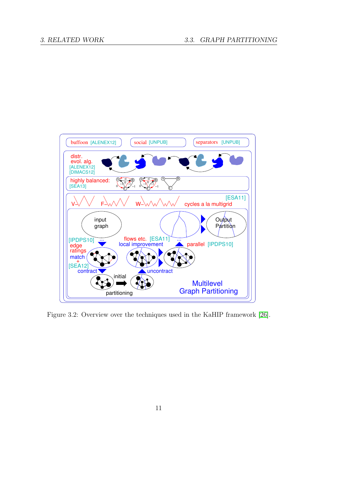

<span id="page-22-0"></span>Figure 3.2: Overview over the techniques used in the KaHIP framework [\[26\]](#page-76-2).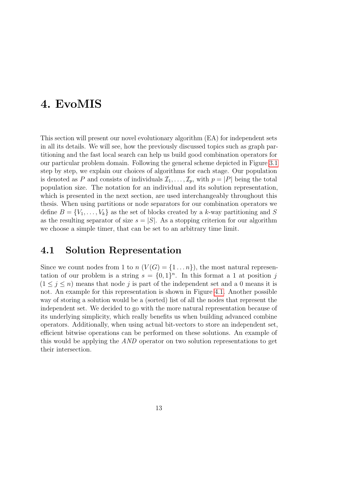# <span id="page-24-0"></span>4. EvoMIS

This section will present our novel evolutionary algorithm (EA) for independent sets in all its details. We will see, how the previously discussed topics such as graph partitioning and the fast local search can help us build good combination operators for our particular problem domain. Following the general scheme depicted in Figure [3.1](#page-19-0) step by step, we explain our choices of algorithms for each stage. Our population is denoted as P and consists of individuals  $\mathcal{I}_1, \ldots, \mathcal{I}_p$ , with  $p = |P|$  being the total population size. The notation for an individual and its solution representation, which is presented in the next section, are used interchangeably throughout this thesis. When using partitions or node separators for our combination operators we define  $B = \{V_1, \ldots, V_k\}$  as the set of blocks created by a k-way partitioning and S as the resulting separator of size  $s = |S|$ . As a stopping criterion for our algorithm we choose a simple timer, that can be set to an arbitrary time limit.

## <span id="page-24-1"></span>4.1 Solution Representation

<span id="page-24-2"></span>Since we count nodes from 1 to  $n (V(G) = \{1 \dots n\})$ , the most natural representation of our problem is a string  $s = \{0, 1\}^n$ . In this format a 1 at position j  $(1 \leq j \leq n)$  means that node j is part of the independent set and a 0 means it is not. An example for this representation is shown in Figure [4.1.](#page-25-0) Another possible way of storing a solution would be a (sorted) list of all the nodes that represent the independent set. We decided to go with the more natural representation because of its underlying simplicity, which really benefits us when building advanced combine operators. Additionally, when using actual bit-vectors to store an independent set, efficient bitwise operations can be performed on these solutions. An example of this would be applying the AND operator on two solution representations to get their intersection.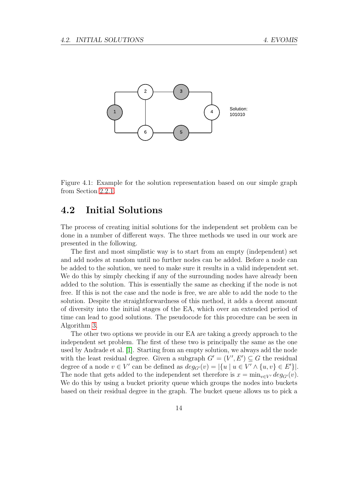<span id="page-25-0"></span>

Figure 4.1: Example for the solution representation based on our simple graph from Section [2.2.1.](#page-15-1)

## 4.2 Initial Solutions

The process of creating initial solutions for the independent set problem can be done in a number of different ways. The three methods we used in our work are presented in the following.

The first and most simplistic way is to start from an empty (independent) set and add nodes at random until no further nodes can be added. Before a node can be added to the solution, we need to make sure it results in a valid independent set. We do this by simply checking if any of the surrounding nodes have already been added to the solution. This is essentially the same as checking if the node is not free. If this is not the case and the node is free, we are able to add the node to the solution. Despite the straightforwardness of this method, it adds a decent amount of diversity into the initial stages of the EA, which over an extended period of time can lead to good solutions. The pseudocode for this procedure can be seen in Algorithm [3.](#page-69-0)

The other two options we provide in our EA are taking a greedy approach to the independent set problem. The first of these two is principally the same as the one used by Andrade et al. [\[1\]](#page-74-0). Starting from an empty solution, we always add the node with the least residual degree. Given a subgraph  $G' = (V', E') \subseteq G$  the residual degree of a node  $v \in V'$  can be defined as  $deg_{G'}(v) = |\{u \mid u \in V' \land \{u, v\} \in E'\}|$ . The node that gets added to the independent set therefore is  $x = \min_{v \in V'} deg_{G'}(v)$ . We do this by using a bucket priority queue which groups the nodes into buckets based on their residual degree in the graph. The bucket queue allows us to pick a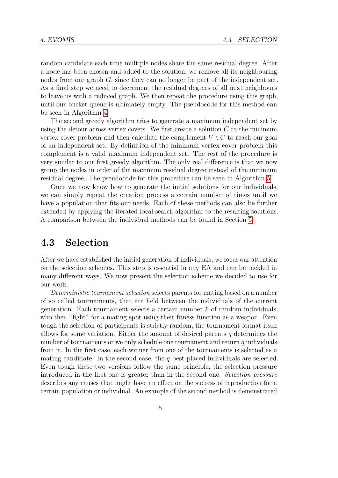random candidate each time multiple nodes share the same residual degree. After a node has been chosen and added to the solution, we remove all its neighbouring nodes from our graph G, since they can no longer be part of the independent set. As a final step we need to decrement the residual degrees of all next neighbours to leave us with a reduced graph. We then repeat the procedure using this graph, until our bucket queue is ultimately empty. The pseudocode for this method can be seen in Algorithm [4.](#page-69-1)

The second greedy algorithm tries to generate a maximum independent set by using the detour across vertex covers. We first create a solution  $C$  to the minimum vertex cover problem and then calculate the complement  $V \setminus C$  to reach our goal of an independent set. By definition of the minimum vertex cover problem this complement is a valid maximum independent set. The rest of the procedure is very similar to our first greedy algorithm. The only real difference is that we now group the nodes in order of the maximum residual degree instead of the minimum residual degree. The pseudocode for this procedure can be seen in Algorithm [5.](#page-69-2)

Once we now know how to generate the initial solutions for our individuals, we can simply repeat the creation process a certain number of times until we have a population that fits our needs. Each of these methods can also be further extended by applying the iterated local search algorithm to the resulting solutions. A comparison between the individual methods can be found in Section [5.](#page-42-0)

## <span id="page-26-0"></span>4.3 Selection

After we have established the initial generation of individuals, we focus our attention on the selection schemes. This step is essential in any EA and can be tackled in many different ways. We now present the selection scheme we decided to use for our work.

Deterministic tournament selection selects parents for mating based on a number of so called tournaments, that are held between the individuals of the current generation. Each tournament selects a certain number  $k$  of random individuals, who then "fight" for a mating spot using their fitness function as a weapon. Even tough the selection of participants is strictly random, the tournament format itself allows for some variation. Either the amount of desired parents q determines the number of tournaments or we only schedule one tournament and return  $q$  individuals from it. In the first case, each winner from one of the tournaments is selected as a mating candidate. In the second case, the  $q$  best-placed individuals are selected. Even tough these two versions follow the same principle, the selection pressure introduced in the first one is greater than in the second one. Selection pressure describes any causes that might have an effect on the success of reproduction for a certain population or individual. An example of the second method is demonstrated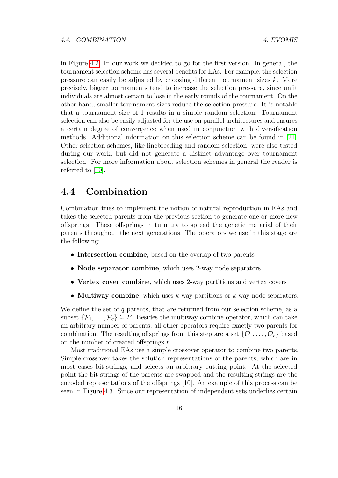in Figure [4.2.](#page-28-0) In our work we decided to go for the first version. In general, the tournament selection scheme has several benefits for EAs. For example, the selection pressure can easily be adjusted by choosing different tournament sizes k. More precisely, bigger tournaments tend to increase the selection pressure, since unfit individuals are almost certain to lose in the early rounds of the tournament. On the other hand, smaller tournament sizes reduce the selection pressure. It is notable that a tournament size of 1 results in a simple random selection. Tournament selection can also be easily adjusted for the use on parallel architectures and ensures a certain degree of convergence when used in conjunction with diversification methods. Additional information on this selection scheme can be found in [\[21\]](#page-76-9). Other selection schemes, like linebreeding and random selection, were also tested during our work, but did not generate a distinct advantage over tournament selection. For more information about selection schemes in general the reader is referred to [\[10\]](#page-75-5).

## <span id="page-27-0"></span>4.4 Combination

Combination tries to implement the notion of natural reproduction in EAs and takes the selected parents from the previous section to generate one or more new offsprings. These offsprings in turn try to spread the genetic material of their parents throughout the next generations. The operators we use in this stage are the following:

- Intersection combine, based on the overlap of two parents
- Node separator combine, which uses 2-way node separators
- Vertex cover combine, which uses 2-way partitions and vertex covers
- Multiway combine, which uses  $k$ -way partitions or  $k$ -way node separators.

We define the set of  $q$  parents, that are returned from our selection scheme, as a subset  $\{\mathcal{P}_1,\ldots,\mathcal{P}_q\}\subseteq P$ . Besides the multiway combine operator, which can take an arbitrary number of parents, all other operators require exactly two parents for combination. The resulting offsprings from this step are a set  $\{\mathcal{O}_1, \ldots, \mathcal{O}_r\}$  based on the number of created offsprings r.

Most traditional EAs use a simple crossover operator to combine two parents. Simple crossover takes the solution representations of the parents, which are in most cases bit-strings, and selects an arbitrary cutting point. At the selected point the bit-strings of the parents are swapped and the resulting strings are the encoded representations of the offsprings [\[10\]](#page-75-5). An example of this process can be seen in Figure [4.3.](#page-29-2) Since our representation of independent sets underlies certain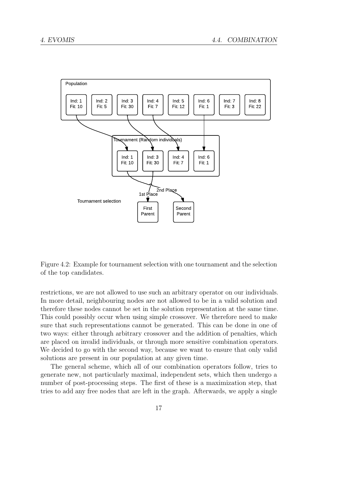

<span id="page-28-0"></span>Figure 4.2: Example for tournament selection with one tournament and the selection of the top candidates.

restrictions, we are not allowed to use such an arbitrary operator on our individuals. In more detail, neighbouring nodes are not allowed to be in a valid solution and therefore these nodes cannot be set in the solution representation at the same time. This could possibly occur when using simple crossover. We therefore need to make sure that such representations cannot be generated. This can be done in one of two ways: either through arbitrary crossover and the addition of penalties, which are placed on invalid individuals, or through more sensitive combination operators. We decided to go with the second way, because we want to ensure that only valid solutions are present in our population at any given time.

The general scheme, which all of our combination operators follow, tries to generate new, not particularly maximal, independent sets, which then undergo a number of post-processing steps. The first of these is a maximization step, that tries to add any free nodes that are left in the graph. Afterwards, we apply a single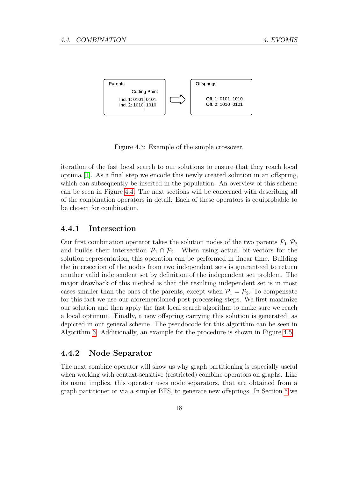

<span id="page-29-2"></span>Figure 4.3: Example of the simple crossover.

iteration of the fast local search to our solutions to ensure that they reach local optima [\[1\]](#page-74-0). As a final step we encode this newly created solution in an offspring, which can subsequently be inserted in the population. An overview of this scheme can be seen in Figure [4.4.](#page-30-0) The next sections will be concerned with describing all of the combination operators in detail. Each of these operators is equiprobable to be chosen for combination.

#### <span id="page-29-0"></span>4.4.1 Intersection

Our first combination operator takes the solution nodes of the two parents  $P_1, P_2$ and builds their intersection  $\mathcal{P}_1 \cap \mathcal{P}_2$ . When using actual bit-vectors for the solution representation, this operation can be performed in linear time. Building the intersection of the nodes from two independent sets is guaranteed to return another valid independent set by definition of the independent set problem. The major drawback of this method is that the resulting independent set is in most cases smaller than the ones of the parents, except when  $P_1 = P_2$ . To compensate for this fact we use our aforementioned post-processing steps. We first maximize our solution and then apply the fast local search algorithm to make sure we reach a local optimum. Finally, a new offspring carrying this solution is generated, as depicted in our general scheme. The pseudocode for this algorithm can be seen in Algorithm [6.](#page-70-0) Additionally, an example for the procedure is shown in Figure [4.5.](#page-31-1)

#### <span id="page-29-1"></span>4.4.2 Node Separator

The next combine operator will show us why graph partitioning is especially useful when working with context-sensitive (restricted) combine operators on graphs. Like its name implies, this operator uses node separators, that are obtained from a graph partitioner or via a simpler BFS, to generate new offsprings. In Section [5](#page-42-0) we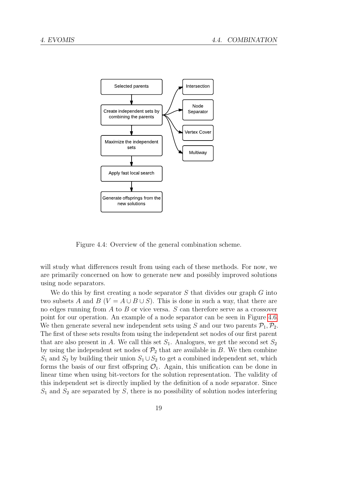

<span id="page-30-0"></span>Figure 4.4: Overview of the general combination scheme.

will study what differences result from using each of these methods. For now, we are primarily concerned on how to generate new and possibly improved solutions using node separators.

We do this by first creating a node separator  $S$  that divides our graph  $G$  into two subsets A and B ( $V = A \cup B \cup S$ ). This is done in such a way, that there are no edges running from  $A$  to  $B$  or vice versa.  $S$  can therefore serve as a crossover point for our operation. An example of a node separator can be seen in Figure [4.6.](#page-32-0) We then generate several new independent sets using S and our two parents  $\mathcal{P}_1, \mathcal{P}_2$ . The first of these sets results from using the independent set nodes of our first parent that are also present in A. We call this set  $S_1$ . Analogues, we get the second set  $S_2$ by using the independent set nodes of  $\mathcal{P}_2$  that are available in B. We then combine  $S_1$  and  $S_2$  by building their union  $S_1 \cup S_2$  to get a combined independent set, which forms the basis of our first offspring  $\mathcal{O}_1$ . Again, this unification can be done in linear time when using bit-vectors for the solution representation. The validity of this independent set is directly implied by the definition of a node separator. Since  $S_1$  and  $S_2$  are separated by S, there is no possibility of solution nodes interfering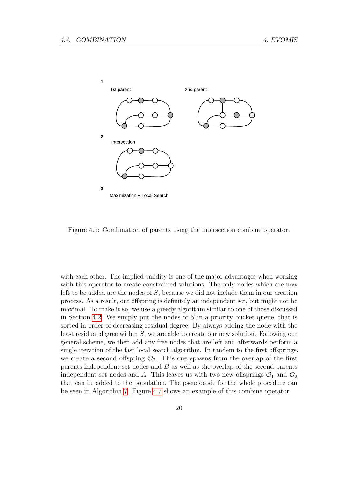

<span id="page-31-1"></span>Figure 4.5: Combination of parents using the intersection combine operator.

<span id="page-31-0"></span>with each other. The implied validity is one of the major advantages when working with this operator to create constrained solutions. The only nodes which are now left to be added are the nodes of S, because we did not include them in our creation process. As a result, our offspring is definitely an independent set, but might not be maximal. To make it so, we use a greedy algorithm similar to one of those discussed in Section [4.2.](#page-24-2) We simply put the nodes of  $S$  in a priority bucket queue, that is sorted in order of decreasing residual degree. By always adding the node with the least residual degree within S, we are able to create our new solution. Following our general scheme, we then add any free nodes that are left and afterwards perform a single iteration of the fast local search algorithm. In tandem to the first offsprings, we create a second offspring  $\mathcal{O}_2$ . This one spawns from the overlap of the first parents independent set nodes and B as well as the overlap of the second parents independent set nodes and A. This leaves us with two new offsprings  $\mathcal{O}_1$  and  $\mathcal{O}_2$ that can be added to the population. The pseudocode for the whole procedure can be seen in Algorithm [7.](#page-70-1) Figure [4.7](#page-39-0) shows an example of this combine operator.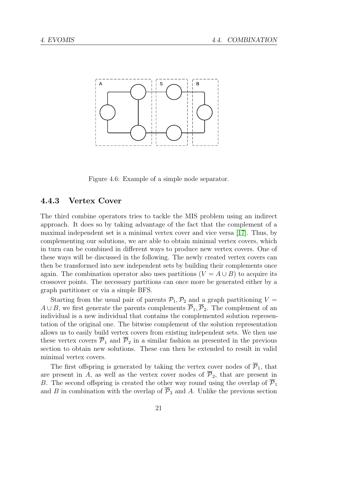

<span id="page-32-0"></span>Figure 4.6: Example of a simple node separator.

### 4.4.3 Vertex Cover

The third combine operators tries to tackle the MIS problem using an indirect approach. It does so by taking advantage of the fact that the complement of a maximal independent set is a minimal vertex cover and vice versa [\[17\]](#page-75-4). Thus, by complementing our solutions, we are able to obtain minimal vertex covers, which in turn can be combined in different ways to produce new vertex covers. One of these ways will be discussed in the following. The newly created vertex covers can then be transformed into new independent sets by building their complements once again. The combination operator also uses partitions  $(V = A \cup B)$  to acquire its crossover points. The necessary partitions can once more be generated either by a graph partitioner or via a simple BFS.

Starting from the usual pair of parents  $P_1, P_2$  and a graph partitioning  $V =$  $A \cup B$ , we first generate the parents complements  $\overline{P}_1$ ,  $\overline{P}_2$ . The complement of an individual is a new individual that contains the complemented solution representation of the original one. The bitwise complement of the solution representation allows us to easily build vertex covers from existing independent sets. We then use these vertex covers  $\overline{P}_1$  and  $\overline{P}_2$  in a similar fashion as presented in the previous section to obtain new solutions. These can then be extended to result in valid minimal vertex covers.

The first offspring is generated by taking the vertex cover nodes of  $\overline{P}_1$ , that are present in A, as well as the vertex cover nodes of  $\overline{P}_2$ , that are present in B. The second offspring is created the other way round using the overlap of  $\overline{P}_1$ and B in combination with the overlap of  $\overline{P}_2$  and A. Unlike the previous section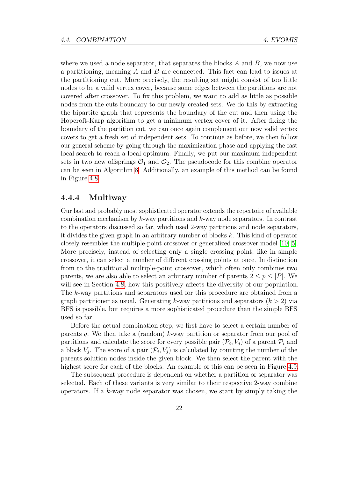where we used a node separator, that separates the blocks  $A$  and  $B$ , we now use a partitioning, meaning  $A$  and  $B$  are connected. This fact can lead to issues at the partitioning cut. More precisely, the resulting set might consist of too little nodes to be a valid vertex cover, because some edges between the partitions are not covered after crossover. To fix this problem, we want to add as little as possible nodes from the cuts boundary to our newly created sets. We do this by extracting the bipartite graph that represents the boundary of the cut and then using the Hopcroft-Karp algorithm to get a minimum vertex cover of it. After fixing the boundary of the partition cut, we can once again complement our now valid vertex covers to get a fresh set of independent sets. To continue as before, we then follow our general scheme by going through the maximization phase and applying the fast local search to reach a local optimum. Finally, we put our maximum independent sets in two new offsprings  $\mathcal{O}_1$  and  $\mathcal{O}_2$ . The pseudocode for this combine operator can be seen in Algorithm [8.](#page-71-0) Additionally, an example of this method can be found in Figure [4.8.](#page-40-0)

#### <span id="page-33-0"></span>4.4.4 Multiway

Our last and probably most sophisticated operator extends the repertoire of available combination mechanism by  $k$ -way partitions and  $k$ -way node separators. In contrast to the operators discussed so far, which used 2-way partitions and node separators, it divides the given graph in an arbitrary number of blocks k. This kind of operator closely resembles the multiple-point crossover or generalized crossover model [\[10,](#page-75-5) [5\]](#page-74-8). More precisely, instead of selecting only a single crossing point, like in simple crossover, it can select a number of different crossing points at once. In distinction from to the traditional multiple-point crossover, which often only combines two parents, we are also able to select an arbitrary number of parents  $2 \leq p \leq |P|$ . We will see in Section [4.8,](#page-37-0) how this positively affects the diversity of our population. The k-way partitions and separators used for this procedure are obtained from a graph partitioner as usual. Generating k-way partitions and separators  $(k > 2)$  via BFS is possible, but requires a more sophisticated procedure than the simple BFS used so far.

Before the actual combination step, we first have to select a certain number of parents q. We then take a (random) k-way partition or separator from our pool of partitions and calculate the score for every possible pair  $(\mathcal{P}_i, V_j)$  of a parent  $\mathcal{P}_i$  and a block  $V_j$ . The score of a pair  $(\mathcal{P}_i, V_j)$  is calculated by counting the number of the parents solution nodes inside the given block. We then select the parent with the highest score for each of the blocks. An example of this can be seen in Figure [4.9.](#page-41-0)

The subsequent procedure is dependent on whether a partition or separator was selected. Each of these variants is very similar to their respective 2-way combine operators. If a k-way node separator was chosen, we start by simply taking the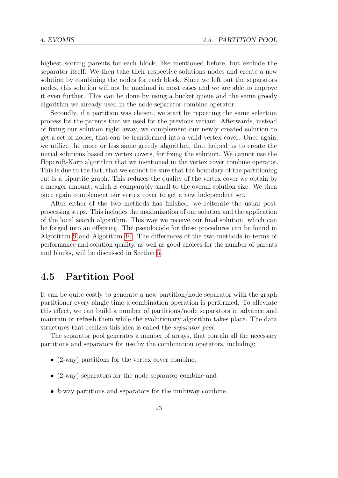highest scoring parents for each block, like mentioned before, but exclude the separator itself. We then take their respective solutions nodes and create a new solution by combining the nodes for each block. Since we left out the separators nodes, this solution will not be maximal in most cases and we are able to improve it even further. This can be done by using a bucket queue and the same greedy algorithm we already used in the node separator combine operator.

Secondly, if a partition was chosen, we start by repeating the same selection process for the parents that we used for the previous variant. Afterwards, instead of fixing our solution right away, we complement our newly created solution to get a set of nodes, that can be transformed into a valid vertex cover. Once again, we utilize the more or less same greedy algorithm, that helped us to create the initial solutions based on vertex covers, for fixing the solution. We cannot use the Hopcroft-Karp algorithm that we mentioned in the vertex cover combine operator. This is due to the fact, that we cannot be sure that the boundary of the partitioning cut is a bipartite graph. This reduces the quality of the vertex cover we obtain by a meager amount, which is comparably small to the overall solution size. We then once again complement our vertex cover to get a new independent set.

After either of the two methods has finished, we reiterate the usual postprocessing steps. This includes the maximization of our solution and the application of the local search algorithm. This way we receive our final solution, which can be forged into an offspring. The pseudocode for these procedures can be found in Algorithm [9](#page-72-0) and Algorithm [10.](#page-72-1) The differences of the two methods in terms of performance and solution quality, as well as good choices for the number of parents and blocks, will be discussed in Section [5.](#page-42-0)

# <span id="page-34-0"></span>4.5 Partition Pool

It can be quite costly to generate a new partition/node separator with the graph partitioner every single time a combination operation is performed. To alleviate this effect, we can build a number of partitions/node separators in advance and maintain or refresh them while the evolutionary algorithm takes place. The data structures that realizes this idea is called the separator pool.

The separator pool generates a number of arrays, that contain all the necessary partitions and separators for use by the combination operators, including:

- (2-way) partitions for the vertex cover combine,
- (2-way) separators for the node separator combine and
- $\bullet$  k-way partitions and separators for the multiway combine.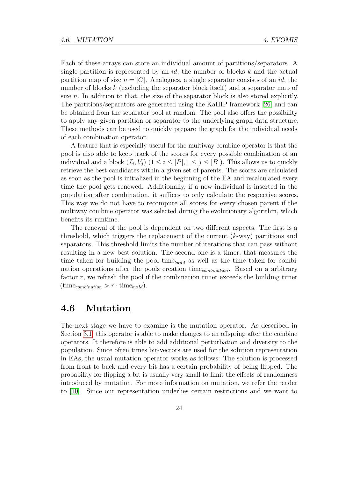Each of these arrays can store an individual amount of partitions/separators. A single partition is represented by an  $id$ , the number of blocks k and the actual partition map of size  $n = |G|$ . Analogues, a single separator consists of an *id*, the number of blocks k (excluding the separator block itself) and a separator map of size n. In addition to that, the size of the separator block is also stored explicitly. The partitions/separators are generated using the KaHIP framework [\[26\]](#page-76-2) and can be obtained from the separator pool at random. The pool also offers the possibility to apply any given partition or separator to the underlying graph data structure. These methods can be used to quickly prepare the graph for the individual needs of each combination operator.

A feature that is especially useful for the multiway combine operator is that the pool is also able to keep track of the scores for every possible combination of an individual and a block  $(\mathcal{I}_i, V_j)$   $(1 \leq i \leq |P|, 1 \leq j \leq |B|)$ . This allows us to quickly retrieve the best candidates within a given set of parents. The scores are calculated as soon as the pool is initialized in the beginning of the EA and recalculated every time the pool gets renewed. Additionally, if a new individual is inserted in the population after combination, it suffices to only calculate the respective scores. This way we do not have to recompute all scores for every chosen parent if the multiway combine operator was selected during the evolutionary algorithm, which benefits its runtime.

The renewal of the pool is dependent on two different aspects. The first is a threshold, which triggers the replacement of the current  $(k$ -way) partitions and separators. This threshold limits the number of iterations that can pass without resulting in a new best solution. The second one is a timer, that measures the time taken for building the pool time<sub>build</sub> as well as the time taken for combination operations after the pools creation time<sub>combination</sub>. Based on a arbitrary factor  $r$ , we refresh the pool if the combination timer exceeds the building timer  $(\text{time}_{combination} > r \cdot \text{time}_{build}).$ 

## <span id="page-35-0"></span>4.6 Mutation

The next stage we have to examine is the mutation operator. As described in Section [3.1,](#page-18-1) this operator is able to make changes to an offspring after the combine operators. It therefore is able to add additional perturbation and diversity to the population. Since often times bit-vectors are used for the solution representation in EAs, the usual mutation operator works as follows: The solution is processed from front to back and every bit has a certain probability of being flipped. The probability for flipping a bit is usually very small to limit the effects of randomness introduced by mutation. For more information on mutation, we refer the reader to [\[10\]](#page-75-5). Since our representation underlies certain restrictions and we want to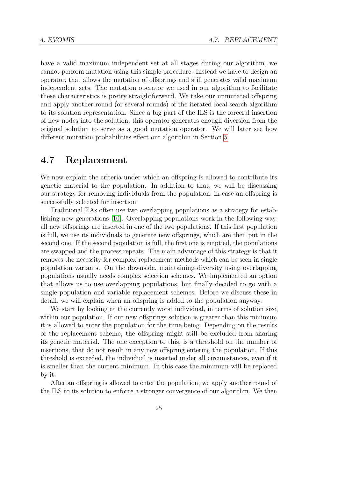have a valid maximum independent set at all stages during our algorithm, we cannot perform mutation using this simple procedure. Instead we have to design an operator, that allows the mutation of offsprings and still generates valid maximum independent sets. The mutation operator we used in our algorithm to facilitate these characteristics is pretty straightforward. We take our unmutated offspring and apply another round (or several rounds) of the iterated local search algorithm to its solution representation. Since a big part of the ILS is the forceful insertion of new nodes into the solution, this operator generates enough diversion from the original solution to serve as a good mutation operator. We will later see how different mutation probabilities effect our algorithm in Section [5.](#page-42-0)

#### <span id="page-36-0"></span>4.7 Replacement

We now explain the criteria under which an offspring is allowed to contribute its genetic material to the population. In addition to that, we will be discussing our strategy for removing individuals from the population, in case an offspring is successfully selected for insertion.

Traditional EAs often use two overlapping populations as a strategy for establishing new generations [\[10\]](#page-75-0). Overlapping populations work in the following way: all new offsprings are inserted in one of the two populations. If this first population is full, we use its individuals to generate new offsprings, which are then put in the second one. If the second population is full, the first one is emptied, the populations are swapped and the process repeats. The main advantage of this strategy is that it removes the necessity for complex replacement methods which can be seen in single population variants. On the downside, maintaining diversity using overlapping populations usually needs complex selection schemes. We implemented an option that allows us to use overlapping populations, but finally decided to go with a single population and variable replacement schemes. Before we discuss these in detail, we will explain when an offspring is added to the population anyway.

We start by looking at the currently worst individual, in terms of solution size, within our population. If our new offsprings solution is greater than this minimum it is allowed to enter the population for the time being. Depending on the results of the replacement scheme, the offspring might still be excluded from sharing its genetic material. The one exception to this, is a threshold on the number of insertions, that do not result in any new offspring entering the population. If this threshold is exceeded, the individual is inserted under all circumstances, even if it is smaller than the current minimum. In this case the minimum will be replaced by it.

After an offspring is allowed to enter the population, we apply another round of the ILS to its solution to enforce a stronger convergence of our algorithm. We then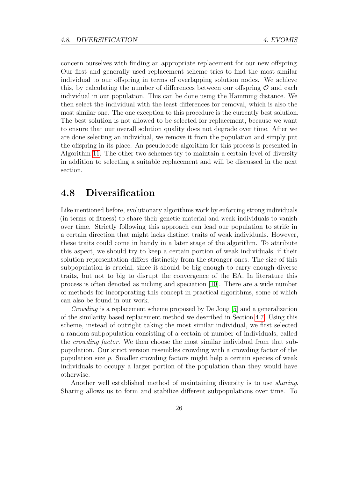concern ourselves with finding an appropriate replacement for our new offspring. Our first and generally used replacement scheme tries to find the most similar individual to our offspring in terms of overlapping solution nodes. We achieve this, by calculating the number of differences between our offspring  $\mathcal O$  and each individual in our population. This can be done using the Hamming distance. We then select the individual with the least differences for removal, which is also the most similar one. The one exception to this procedure is the currently best solution. The best solution is not allowed to be selected for replacement, because we want to ensure that our overall solution quality does not degrade over time. After we are done selecting an individual, we remove it from the population and simply put the offspring in its place. An pseudocode algorithm for this process is presented in Algorithm [11.](#page-73-0) The other two schemes try to maintain a certain level of diversity in addition to selecting a suitable replacement and will be discussed in the next section.

#### 4.8 Diversification

Like mentioned before, evolutionary algorithms work by enforcing strong individuals (in terms of fitness) to share their genetic material and weak individuals to vanish over time. Strictly following this approach can lead our population to strife in a certain direction that might lacks distinct traits of weak individuals. However, these traits could come in handy in a later stage of the algorithm. To attribute this aspect, we should try to keep a certain portion of weak individuals, if their solution representation differs distinctly from the stronger ones. The size of this subpopulation is crucial, since it should be big enough to carry enough diverse traits, but not to big to disrupt the convergence of the EA. In literature this process is often denoted as niching and speciation [\[10\]](#page-75-0). There are a wide number of methods for incorporating this concept in practical algorithms, some of which can also be found in our work.

Crowding is a replacement scheme proposed by De Jong [\[5\]](#page-74-0) and a generalization of the similarity based replacement method we described in Section [4.7.](#page-36-0) Using this scheme, instead of outright taking the most similar individual, we first selected a random subpopulation consisting of a certain of number of individuals, called the crowding factor. We then choose the most similar individual from that subpopulation. Our strict version resembles crowding with a crowding factor of the population size  $p$ . Smaller crowding factors might help a certain species of weak individuals to occupy a larger portion of the population than they would have otherwise.

Another well established method of maintaining diversity is to use sharing. Sharing allows us to form and stabilize different subpopulations over time. To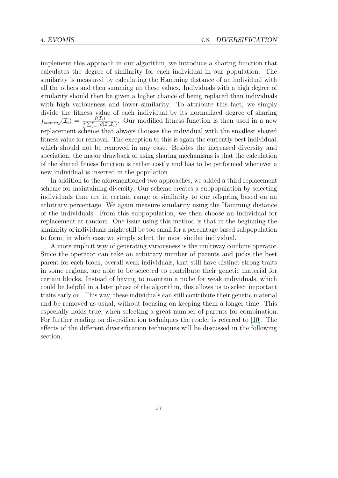implement this approach in our algorithm, we introduce a sharing function that calculates the degree of similarity for each individual in our population. The similarity is measured by calculating the Hamming distance of an individual with all the others and then summing up these values. Individuals with a high degree of similarity should then be given a higher chance of being replaced than individuals with high variousness and lower similarity. To attribute this fact, we simply divide the fitness value of each individual by its normalized degree of sharing  $f_{sharing}(\mathcal{I}_i) = \frac{f(\mathcal{I}_i)}{\frac{1}{p} \sum_{j=1}^p d(\mathcal{I}_i, \mathcal{I}_j)}$ . Our modified fitness function is then used in a new replacement scheme that always chooses the individual with the smallest shared fitness value for removal. The exception to this is again the currently best individual, which should not be removed in any case. Besides the increased diversity and speciation, the major drawback of using sharing mechanisms is that the calculation of the shared fitness function is rather costly and has to be performed whenever a new individual is inserted in the population

In addition to the aforementioned two approaches, we added a third replacement scheme for maintaining diversity. Our scheme creates a subpopulation by selecting individuals that are in certain range of similarity to our offspring based on an arbitrary percentage. We again measure similarity using the Hamming distance of the individuals. From this subpopulation, we then choose an individual for replacement at random. One issue using this method is that in the beginning the similarity of individuals might still be too small for a percentage based subpopulation to form, in which case we simply select the most similar individual.

A more implicit way of generating variousness is the multiway combine operator. Since the operator can take an arbitrary number of parents and picks the best parent for each block, overall weak individuals, that still have distinct strong traits in some regions, are able to be selected to contribute their genetic material for certain blocks. Instead of having to maintain a niche for weak individuals, which could be helpful in a later phase of the algorithm, this allows us to select important traits early on. This way, these individuals can still contribute their genetic material and be removed as usual, without focusing on keeping them a longer time. This especially holds true, when selecting a great number of parents for combination. For further reading on diversification techniques the reader is referred to [\[10\]](#page-75-0). The effects of the different diversification techniques will be discussed in the following section.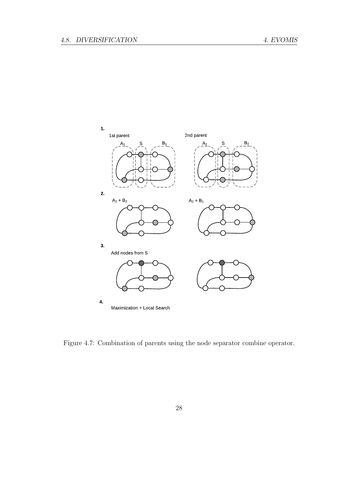

Figure 4.7: Combination of parents using the node separator combine operator.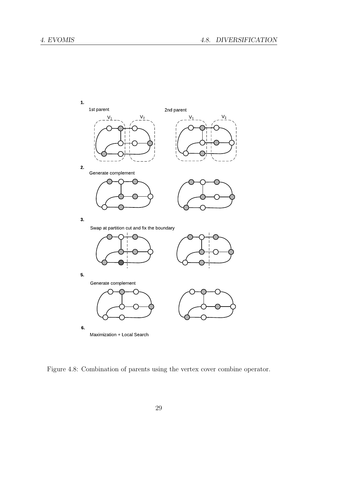

Figure 4.8: Combination of parents using the vertex cover combine operator.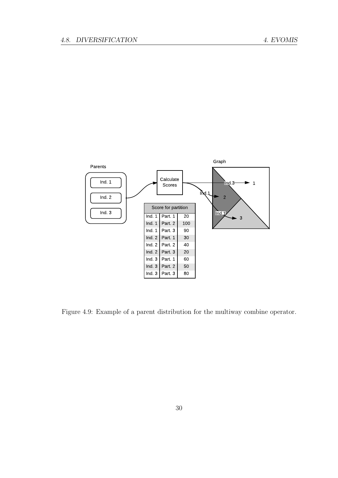

Figure 4.9: Example of a parent distribution for the multiway combine operator.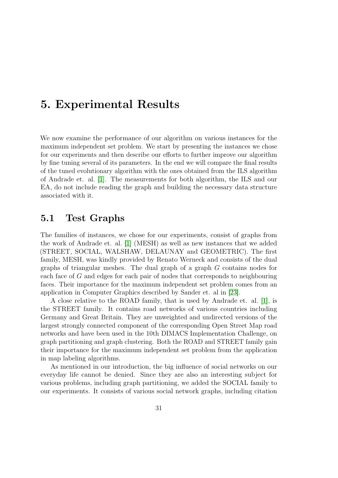## <span id="page-42-0"></span>5. Experimental Results

We now examine the performance of our algorithm on various instances for the maximum independent set problem. We start by presenting the instances we chose for our experiments and then describe our efforts to further improve our algorithm by fine tuning several of its parameters. In the end we will compare the final results of the tuned evolutionary algorithm with the ones obtained from the ILS algorithm of Andrade et. al. [\[1\]](#page-74-1). The measurements for both algorithm, the ILS and our EA, do not include reading the graph and building the necessary data structure associated with it.

#### 5.1 Test Graphs

The families of instances, we chose for our experiments, consist of graphs from the work of Andrade et. al. [\[1\]](#page-74-1) (MESH) as well as new instances that we added (STREET, SOCIAL, WALSHAW, DELAUNAY and GEOMETRIC). The first family, MESH, was kindly provided by Renato Werneck and consists of the dual graphs of triangular meshes. The dual graph of a graph G contains nodes for each face of G and edges for each pair of nodes that corresponds to neighbouring faces. Their importance for the maximum independent set problem comes from an application in Computer Graphics described by Sander et. al in [\[23\]](#page-76-0).

A close relative to the ROAD family, that is used by Andrade et. al. [\[1\]](#page-74-1), is the STREET family. It contains road networks of various countries including Germany and Great Britain. They are unweighted and undirected versions of the largest strongly connected component of the corresponding Open Street Map road networks and have been used in the 10th DIMACS Implementation Challenge, on graph partitioning and graph clustering. Both the ROAD and STREET family gain their importance for the maximum independent set problem from the application in map labeling algorithms.

As mentioned in our introduction, the big influence of social networks on our everyday life cannot be denied. Since they are also an interesting subject for various problems, including graph partitioning, we added the SOCIAL family to our experiments. It consists of various social network graphs, including citation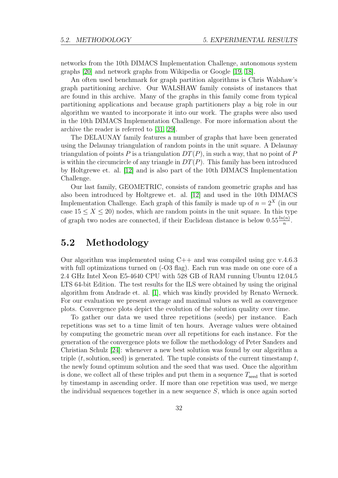networks from the 10th DIMACS Implementation Challenge, autonomous system graphs [\[20\]](#page-75-1) and network graphs from Wikipedia or Google [\[19,](#page-75-2) [18\]](#page-75-3).

An often used benchmark for graph partition algorithms is Chris Walshaw's graph partitioning archive. Our WALSHAW family consists of instances that are found in this archive. Many of the graphs in this family come from typical partitioning applications and because graph partitioners play a big role in our algorithm we wanted to incorporate it into our work. The graphs were also used in the 10th DIMACS Implementation Challenge. For more information about the archive the reader is referred to [\[31,](#page-76-1) [29\]](#page-76-2).

The DELAUNAY family features a number of graphs that have been generated using the Delaunay triangulation of random points in the unit square. A Delaunay triangulation of points P is a triangulation  $DT(P)$ , in such a way, that no point of P is within the circumcircle of any triangle in  $DT(P)$ . This family has been introduced by Holtgrewe et. al. [\[12\]](#page-75-4) and is also part of the 10th DIMACS Implementation Challenge.

Our last family, GEOMETRIC, consists of random geometric graphs and has also been introduced by Holtgrewe et. al. [\[12\]](#page-75-4) and used in the 10th DIMACS Implementation Challenge. Each graph of this family is made up of  $n = 2<sup>X</sup>$  (in our case  $15 \le X \le 20$ ) nodes, which are random points in the unit square. In this type of graph two nodes are connected, if their Euclidean distance is below  $0.55\frac{\ln(n)}{n}$ .

#### 5.2 Methodology

Our algorithm was implemented using  $C++$  and was compiled using gcc v.4.6.3 with full optimizations turned on  $(-O3 \text{ flag})$ . Each run was made on one core of a 2.4 GHz Intel Xeon E5-4640 CPU with 528 GB of RAM running Ubuntu 12.04.5 LTS 64-bit Edition. The test results for the ILS were obtained by using the original algorithm from Andrade et. al. [\[1\]](#page-74-1), which was kindly provided by Renato Werneck. For our evaluation we present average and maximal values as well as convergence plots. Convergence plots depict the evolution of the solution quality over time.

To gather our data we used three repetitions (seeds) per instance. Each repetitions was set to a time limit of ten hours. Average values were obtained by computing the geometric mean over all repetitions for each instance. For the generation of the convergence plots we follow the methodology of Peter Sanders and Christian Schulz [\[24\]](#page-76-3): whenever a new best solution was found by our algorithm a triple  $(t,$  solution, seed) is generated. The tuple consists of the current timestamp  $t$ , the newly found optimum solution and the seed that was used. Once the algorithm is done, we collect all of these triples and put them in a sequence  $T_{\text{seed}}$  that is sorted by timestamp in ascending order. If more than one repetition was used, we merge the individual sequences together in a new sequence  $S$ , which is once again sorted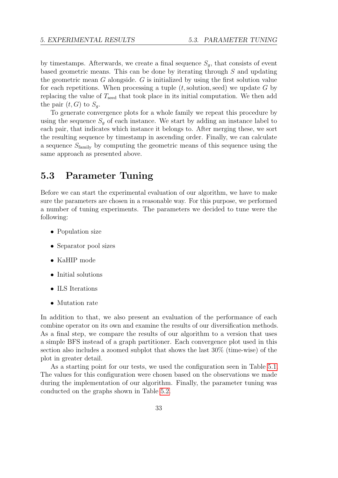by timestamps. Afterwards, we create a final sequence  $S_q$ , that consists of event based geometric means. This can be done by iterating through S and updating the geometric mean  $G$  alongside.  $G$  is initialized by using the first solution value for each repetitions. When processing a tuple  $(t,$  solution, seed) we update G by replacing the value of  $T_{\text{seed}}$  that took place in its initial computation. We then add the pair  $(t, G)$  to  $S_a$ .

To generate convergence plots for a whole family we repeat this procedure by using the sequence  $S<sub>q</sub>$  of each instance. We start by adding an instance label to each pair, that indicates which instance it belongs to. After merging these, we sort the resulting sequence by timestamp in ascending order. Finally, we can calculate a sequence  $S_{\text{family}}$  by computing the geometric means of this sequence using the same approach as presented above.

#### 5.3 Parameter Tuning

Before we can start the experimental evaluation of our algorithm, we have to make sure the parameters are chosen in a reasonable way. For this purpose, we performed a number of tuning experiments. The parameters we decided to tune were the following:

- Population size
- Separator pool sizes
- KaHIP mode
- Initial solutions
- ILS Iterations
- Mutation rate

In addition to that, we also present an evaluation of the performance of each combine operator on its own and examine the results of our diversification methods. As a final step, we compare the results of our algorithm to a version that uses a simple BFS instead of a graph partitioner. Each convergence plot used in this section also includes a zoomed subplot that shows the last 30% (time-wise) of the plot in greater detail.

As a starting point for our tests, we used the configuration seen in Table [5.1.](#page-45-0) The values for this configuration were chosen based on the observations we made during the implementation of our algorithm. Finally, the parameter tuning was conducted on the graphs shown in Table [5.2.](#page-45-1)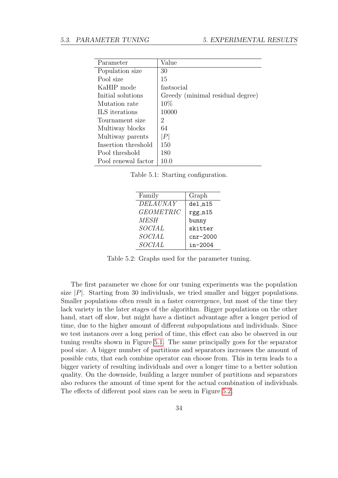| Parameter           | Value                            |
|---------------------|----------------------------------|
| Population size     | 30                               |
| Pool size           | 15                               |
| KaHIP mode          | fastsocial                       |
| Initial solutions   | Greedy (minimal residual degree) |
| Mutation rate       | 10%                              |
| ILS iterations      | 10000                            |
| Tournament size     | 2                                |
| Multiway blocks     | 64                               |
| Multiway parents    | P                                |
| Insertion threshold | 150                              |
| Pool threshold      | 180                              |
| Pool renewal factor | 10.0                             |

<span id="page-45-0"></span>Table 5.1: Starting configuration.

<span id="page-45-1"></span>

| Family           | Graph      |
|------------------|------------|
| <b>DELAUNAY</b>  | del_n15    |
| <b>GEOMETRIC</b> | rgg_n15    |
| <b>MESH</b>      | bunny      |
| SOCIAL           | skitter    |
| SOCIAL           | $cnr-2000$ |
| SOCIAL           | in-2004    |

Table 5.2: Graphs used for the parameter tuning.

The first parameter we chose for our tuning experiments was the population size  $|P|$ . Starting from 30 individuals, we tried smaller and bigger populations. Smaller populations often result in a faster convergence, but most of the time they lack variety in the later stages of the algorithm. Bigger populations on the other hand, start off slow, but might have a distinct advantage after a longer period of time, due to the higher amount of different subpopulations and individuals. Since we test instances over a long period of time, this effect can also be observed in our tuning results shown in Figure [5.1.](#page-46-0) The same principally goes for the separator pool size. A bigger number of partitions and separators increases the amount of possible cuts, that each combine operator can choose from. This in term leads to a bigger variety of resulting individuals and over a longer time to a better solution quality. On the downside, building a larger number of partitions and separators also reduces the amount of time spent for the actual combination of individuals. The effects of different pool sizes can be seen in Figure [5.2.](#page-47-0)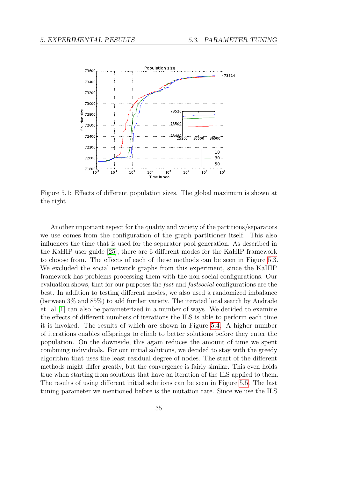

<span id="page-46-0"></span>Figure 5.1: Effects of different population sizes. The global maximum is shown at the right.

Another important aspect for the quality and variety of the partitions/separators we use comes from the configuration of the graph partitioner itself. This also influences the time that is used for the separator pool generation. As described in the KaHIP user guide [\[25\]](#page-76-4), there are 6 different modes for the KaHIP framework to choose from. The effects of each of these methods can be seen in Figure [5.3.](#page-48-0) We excluded the social network graphs from this experiment, since the KaHIP framework has problems processing them with the non-social configurations. Our evaluation shows, that for our purposes the *fast* and *fastsocial* configurations are the best. In addition to testing different modes, we also used a randomized imbalance (between 3% and 85%) to add further variety. The iterated local search by Andrade et. al [\[1\]](#page-74-1) can also be parameterized in a number of ways. We decided to examine the effects of different numbers of iterations the ILS is able to perform each time it is invoked. The results of which are shown in Figure [5.4.](#page-49-0) A higher number of iterations enables offsprings to climb to better solutions before they enter the population. On the downside, this again reduces the amount of time we spent combining individuals. For our initial solutions, we decided to stay with the greedy algorithm that uses the least residual degree of nodes. The start of the different methods might differ greatly, but the convergence is fairly similar. This even holds true when starting from solutions that have an iteration of the ILS applied to them. The results of using different initial solutions can be seen in Figure [5.5.](#page-49-1) The last tuning parameter we mentioned before is the mutation rate. Since we use the ILS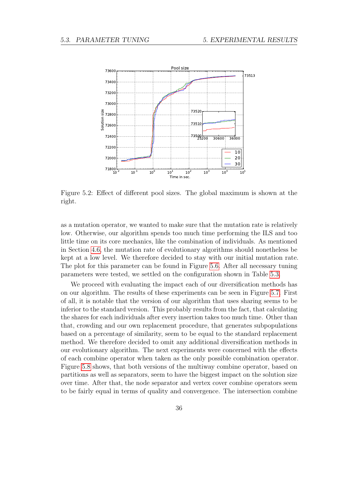

<span id="page-47-0"></span>Figure 5.2: Effect of different pool sizes. The global maximum is shown at the right.

as a mutation operator, we wanted to make sure that the mutation rate is relatively low. Otherwise, our algorithm spends too much time performing the ILS and too little time on its core mechanics, like the combination of individuals. As mentioned in Section [4.6,](#page-35-0) the mutation rate of evolutionary algorithms should nonetheless be kept at a low level. We therefore decided to stay with our initial mutation rate. The plot for this parameter can be found in Figure [5.6.](#page-50-0) After all necessary tuning parameters were tested, we settled on the configuration shown in Table [5.3.](#page-50-1)

We proceed with evaluating the impact each of our diversification methods has on our algorithm. The results of these experiments can be seen in Figure [5.7.](#page-51-0) First of all, it is notable that the version of our algorithm that uses sharing seems to be inferior to the standard version. This probably results from the fact, that calculating the shares for each individuals after every insertion takes too much time. Other than that, crowding and our own replacement procedure, that generates subpopulations based on a percentage of similarity, seem to be equal to the standard replacement method. We therefore decided to omit any additional diversification methods in our evolutionary algorithm. The next experiments were concerned with the effects of each combine operator when taken as the only possible combination operator. Figure [5.8](#page-51-1) shows, that both versions of the multiway combine operator, based on partitions as well as separators, seem to have the biggest impact on the solution size over time. After that, the node separator and vertex cover combine operators seem to be fairly equal in terms of quality and convergence. The intersection combine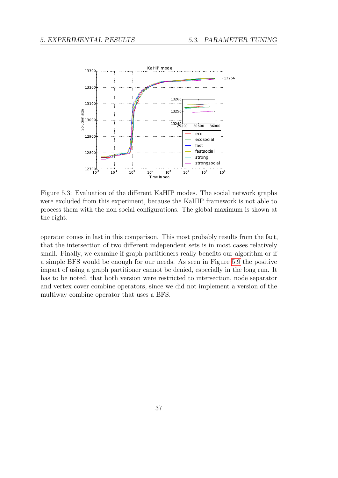

<span id="page-48-0"></span>Figure 5.3: Evaluation of the different KaHIP modes. The social network graphs were excluded from this experiment, because the KaHIP framework is not able to process them with the non-social configurations. The global maximum is shown at the right.

operator comes in last in this comparison. This most probably results from the fact, that the intersection of two different independent sets is in most cases relatively small. Finally, we examine if graph partitioners really benefits our algorithm or if a simple BFS would be enough for our needs. As seen in Figure [5.9](#page-52-0) the positive impact of using a graph partitioner cannot be denied, especially in the long run. It has to be noted, that both version were restricted to intersection, node separator and vertex cover combine operators, since we did not implement a version of the multiway combine operator that uses a BFS.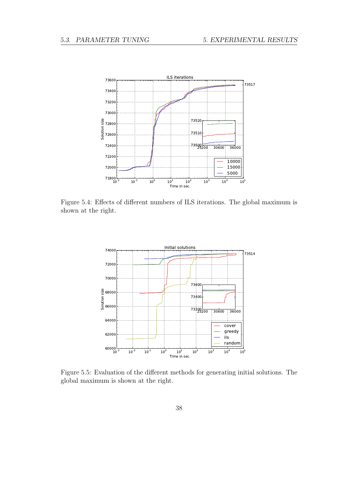

Figure 5.4: Effects of different numbers of ILS iterations. The global maximum is shown at the right.

<span id="page-49-0"></span>

<span id="page-49-1"></span>Figure 5.5: Evaluation of the different methods for generating initial solutions. The global maximum is shown at the right.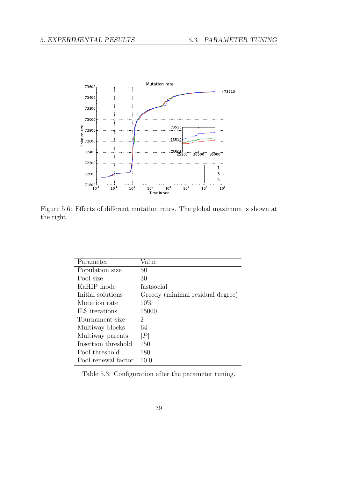

Figure 5.6: Effects of different mutation rates. The global maximum is shown at the right.

<span id="page-50-0"></span>

| Parameter           | Value                            |
|---------------------|----------------------------------|
| Population size     | 50                               |
| Pool size           | 30                               |
| KaHIP mode          | fastsocial                       |
| Initial solutions   | Greedy (minimal residual degree) |
| Mutation rate       | 10%                              |
| ILS iterations      | 15000                            |
| Tournament size     | 2                                |
| Multiway blocks     | 64                               |
| Multiway parents    | $\left\vert P\right\vert$        |
| Insertion threshold | 150                              |
| Pool threshold      | 180                              |
| Pool renewal factor | 10.0                             |

<span id="page-50-1"></span>Table 5.3: Configuration after the parameter tuning.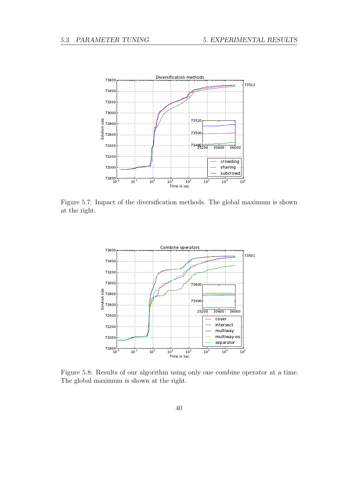

Figure 5.7: Impact of the diversification methods. The global maximum is shown at the right.

<span id="page-51-0"></span>

<span id="page-51-1"></span>Figure 5.8: Results of our algorithm using only one combine operator at a time. The global maximum is shown at the right.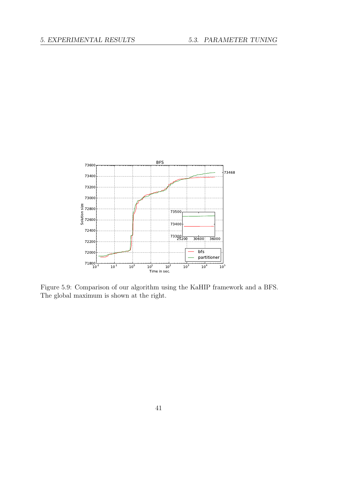<span id="page-52-0"></span>

Figure 5.9: Comparison of our algorithm using the KaHIP framework and a BFS. The global maximum is shown at the right.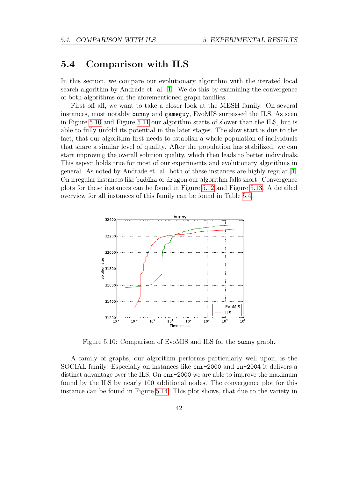#### 5.4 Comparison with ILS

In this section, we compare our evolutionary algorithm with the iterated local search algorithm by Andrade et. al. [\[1\]](#page-74-1). We do this by examining the convergence of both algorithms on the aforementioned graph families.

First off all, we want to take a closer look at the MESH family. On several instances, most notably bunny and gameguy, EvoMIS surpassed the ILS. As seen in Figure [5.10](#page-53-0) and Figure [5.11](#page-54-0) our algorithm starts of slower than the ILS, but is able to fully unfold its potential in the later stages. The slow start is due to the fact, that our algorithm first needs to establish a whole population of individuals that share a similar level of quality. After the population has stabilized, we can start improving the overall solution quality, which then leads to better individuals. This aspect holds true for most of our experiments and evolutionary algorithms in general. As noted by Andrade et. al. both of these instances are highly regular [\[1\]](#page-74-1). On irregular instances like buddha or dragon our algorithm falls short. Convergence plots for these instances can be found in Figure [5.12](#page-55-0) and Figure [5.13.](#page-56-0) A detailed overview for all instances of this family can be found in Table [5.4.](#page-56-1)



<span id="page-53-0"></span>Figure 5.10: Comparison of EvoMIS and ILS for the bunny graph.

A family of graphs, our algorithm performs particularly well upon, is the SOCIAL family. Especially on instances like cnr-2000 and in-2004 it delivers a distinct advantage over the ILS. On cnr-2000 we are able to improve the maximum found by the ILS by nearly 100 additional nodes. The convergence plot for this instance can be found in Figure [5.14.](#page-57-0) This plot shows, that due to the variety in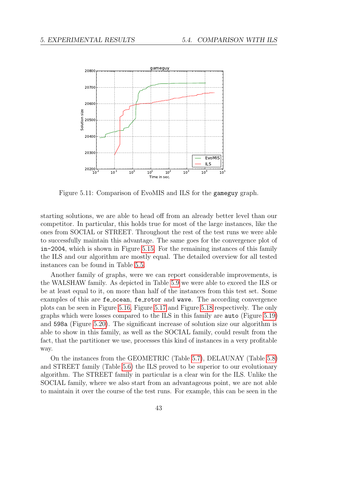

<span id="page-54-0"></span>Figure 5.11: Comparison of EvoMIS and ILS for the gameguy graph.

starting solutions, we are able to head off from an already better level than our competitor. In particular, this holds true for most of the large instances, like the ones from SOCIAL or STREET. Throughout the rest of the test runs we were able to successfully maintain this advantage. The same goes for the convergence plot of in-2004, which is shown in Figure [5.15.](#page-57-1) For the remaining instances of this family the ILS and our algorithm are mostly equal. The detailed overview for all tested instances can be found in Table [5.5.](#page-58-0)

Another family of graphs, were we can report considerable improvements, is the WALSHAW family. As depicted in Table [5.9](#page-62-0) we were able to exceed the ILS or be at least equal to it, on more than half of the instances from this test set. Some examples of this are fe\_ocean, fe\_rotor and wave. The according convergence plots can be seen in Figure [5.16,](#page-58-1) Figure [5.17](#page-59-0) and Figure [5.18](#page-59-1) respectively. The only graphs which were losses compared to the ILS in this family are auto (Figure [5.19\)](#page-60-0) and 598a (Figure [5.20\)](#page-60-1). The significant increase of solution size our algorithm is able to show in this family, as well as the SOCIAL family, could result from the fact, that the partitioner we use, processes this kind of instances in a very profitable way.

On the instances from the GEOMETRIC (Table [5.7\)](#page-61-0), DELAUNAY (Table [5.8\)](#page-61-1) and STREET family (Table [5.6\)](#page-58-2) the ILS proved to be superior to our evolutionary algorithm. The STREET family in particular is a clear win for the ILS. Unlike the SOCIAL family, where we also start from an advantageous point, we are not able to maintain it over the course of the test runs. For example, this can be seen in the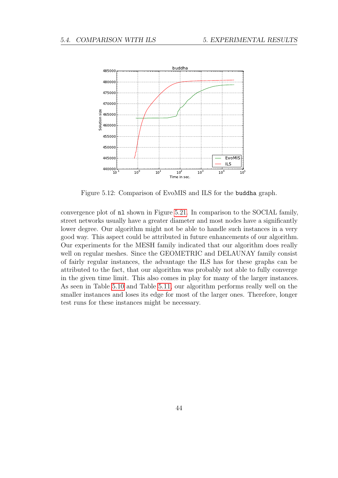

<span id="page-55-0"></span>Figure 5.12: Comparison of EvoMIS and ILS for the buddha graph.

convergence plot of nl shown in Figure [5.21.](#page-61-2) In comparison to the SOCIAL family, street networks usually have a greater diameter and most nodes have a significantly lower degree. Our algorithm might not be able to handle such instances in a very good way. This aspect could be attributed in future enhancements of our algorithm. Our experiments for the MESH family indicated that our algorithm does really well on regular meshes. Since the GEOMETRIC and DELAUNAY family consist of fairly regular instances, the advantage the ILS has for these graphs can be attributed to the fact, that our algorithm was probably not able to fully converge in the given time limit. This also comes in play for many of the larger instances. As seen in Table [5.10](#page-63-0) and Table [5.11,](#page-64-0) our algorithm performs really well on the smaller instances and loses its edge for most of the larger ones. Therefore, longer test runs for these instances might be necessary.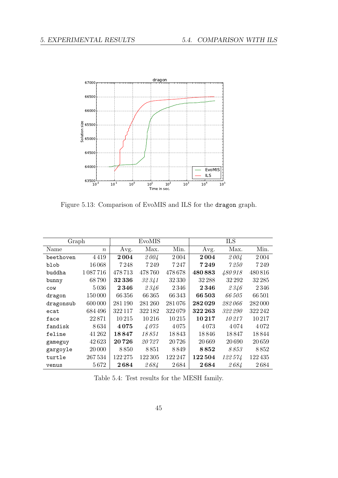

<span id="page-56-0"></span>Figure 5.13: Comparison of EvoMIS and ILS for the dragon graph.

| Graph     |                  | EvoMIS  |         |         | ILS                                   |         |         |
|-----------|------------------|---------|---------|---------|---------------------------------------|---------|---------|
| Name      | $\boldsymbol{n}$ | Avg.    | Max.    | Min.    | Avg.                                  | Max.    | Min.    |
| beethoven | 4419             | 2004    | 2004    | 2004    | $2\,004$                              | 2004    | 2004    |
| blob      | 16068            | 7 248   | 7249    | 7 247   | 7249                                  | 7250    | 7249    |
| buddha    | 1087716          | 478713  | 478 760 | 478678  | 480883                                | 480918  | 480 816 |
| bunny     | 68790            | 32336   | 32341   | 32330   | 32 288                                | 32 29 2 | 32 285  |
| COW       | 5036             | 2346    | 2346    | 2346    | 2346                                  | 2346    | 2346    |
| dragon    | 150000           | 66356   | 66365   | 66343   | 66 503                                | 66 505  | 66501   |
| dragonsub | 600 000          | 281 190 | 281 260 | 281076  | 282029                                | 282 066 | 282000  |
| ecat      | 684496           | 322117  | 322 182 | 322079  | 322 263                               | 322 290 | 322 242 |
| face      | 22871            | 10215   | 10216   | 10215   | 10217                                 | 10 217  | 10217   |
| fandisk   | 8634             | 4075    | 4075    | 4075    | 4073                                  | 4074    | 4072    |
| feline    | 41 262           | 18847   | 18851   | 18843   | 18846                                 | 18 847  | 18844   |
| gameguy   | 42623            | 20 7 26 | 20 727  | 20726   | 20 669                                | 20 690  | 20659   |
| gargoyle  | 20 000           | 8850    | 8851    | 8849    | 8852                                  | 8853    | 8852    |
| turtle    | 267534           | 122 275 | 122 305 | 122 247 | 122504                                | 122574  | 122435  |
| venus     | 5672             | 2684    | 2684    | 2684    | $\begin{array}{c} 2\,684 \end{array}$ | 2684    | 2684    |

<span id="page-56-1"></span>Table 5.4: Test results for the MESH family.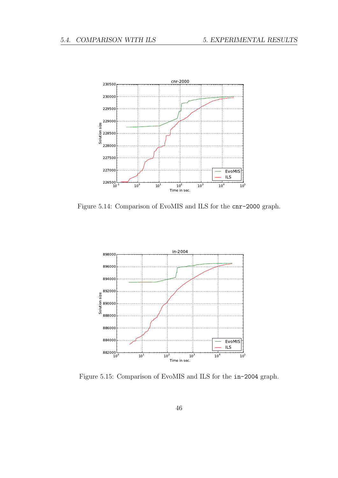

Figure 5.14: Comparison of EvoMIS and ILS for the cnr-2000 graph.

<span id="page-57-0"></span>

<span id="page-57-1"></span>Figure 5.15: Comparison of EvoMIS and ILS for the in-2004 graph.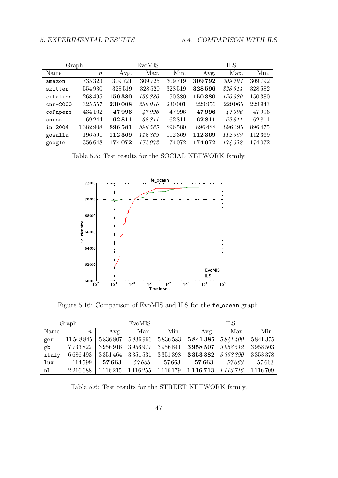| Graph       |                  |         | EvoMIS  |         | <b>ILS</b> |         |         |
|-------------|------------------|---------|---------|---------|------------|---------|---------|
| Name        | $\boldsymbol{n}$ | Avg.    | Max.    | Min.    | Avg.       | Max.    | Min.    |
| amazon      | 735 323          | 309721  | 309725  | 309719  | 309792     | 309793  | 309792  |
| skitter     | 554930           | 328 519 | 328 520 | 328 519 | 328 596    | 328614  | 328 582 |
| citation    | 268 495          | 150380  | 150380  | 150380  | 150380     | 150 380 | 150 380 |
| $cnr-2000$  | 325 557          | 230 008 | 230016  | 230 001 | 229 956    | 229 965 | 229 943 |
| coPapers    | 434 102          | 47996   | 47996   | 47996   | 47996      | 47996   | 47996   |
| enron       | 69 244           | 62811   | 62811   | 62811   | 62811      | 62811   | 62811   |
| $in - 2004$ | 1 382 908        | 896581  | 896 585 | 896 580 | 896488     | 896495  | 896475  |
| gowalla     | 196591           | 112369  | 112369  | 112369  | 112369     | 112 369 | 112369  |
| google      | 356648           | 174072  | 174072  | 174072  | 174072     | 174072  | 174072  |

<span id="page-58-0"></span>Table 5.5: Test results for the SOCIAL NETWORK family.



<span id="page-58-1"></span>Figure 5.16: Comparison of EvoMIS and ILS for the fe ocean graph.

|       | Graph            |      | EvoMIS |                         |                                                                                                                | <b>ILS</b> |        |
|-------|------------------|------|--------|-------------------------|----------------------------------------------------------------------------------------------------------------|------------|--------|
| Name  | $\boldsymbol{n}$ | Avg. |        | Max. Min.               | Avg.                                                                                                           | Max.       | Min.   |
| ger   |                  |      |        |                         | $11\,548\,845$   $5\,836\,807$   $5\,836\,966$   $5\,836\,583$   $5\,841\,385$   $5\,841\,400$   $5\,841\,375$ |            |        |
| gb    | 7733822          |      |        |                         |                                                                                                                |            |        |
| italy |                  |      |        |                         | $6686493 \mid 3351464 \mid 3351531 \mid 3351398 \mid 3353382 \mid 3353390 \mid 3353378$                        |            |        |
| lux   | 114599           |      |        | $57663$ $57663$ $57663$ | 57663                                                                                                          | $57\,663$  | 57 663 |
| n1    | 2 2 16 6 8 8     |      |        |                         | 1116215 1116255 1116179 1116713 1116716 1116709                                                                |            |        |

<span id="page-58-2"></span>Table 5.6: Test results for the STREET NETWORK family.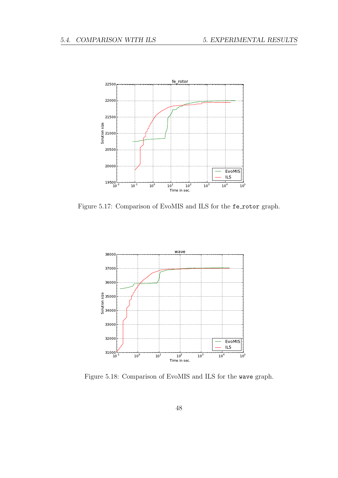

Figure 5.17: Comparison of EvoMIS and ILS for the fe rotor graph.

<span id="page-59-0"></span>

<span id="page-59-1"></span>Figure 5.18: Comparison of EvoMIS and ILS for the wave graph.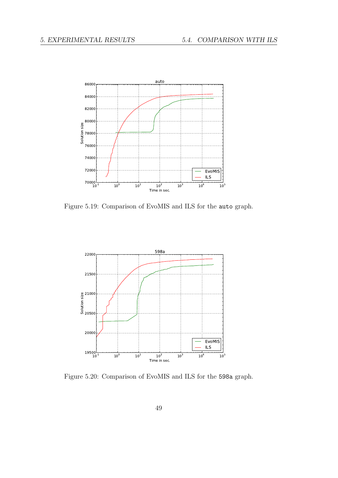

Figure 5.19: Comparison of EvoMIS and ILS for the auto graph.

<span id="page-60-0"></span>

<span id="page-60-1"></span>Figure 5.20: Comparison of EvoMIS and ILS for the 598a graph.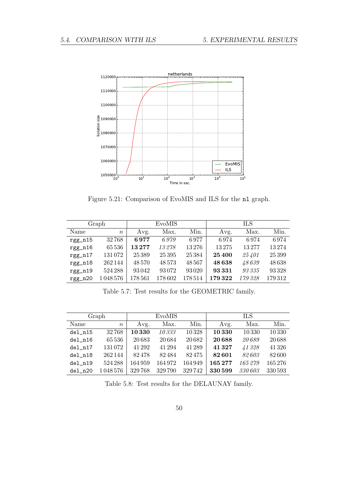

<span id="page-61-2"></span>Figure 5.21: Comparison of EvoMIS and ILS for the nl graph.

|           | Graph            |            | EvoMIS  |          |        | <b>ILS</b> |        |
|-----------|------------------|------------|---------|----------|--------|------------|--------|
| Name      | $\boldsymbol{n}$ | Avg.       | Max.    | Min.     | Avg.   | Max.       | Min.   |
| $rgg_n15$ | 32768            | 6977       | 6.979   | 6977     | 6974   | 6974       | 6974   |
| $rgg_n16$ | 65536            | 13277      | 13278   | 13276    | 13275  | 13277      | 13274  |
| $rgg_n17$ | 131072           | 25 3 8 9   | 25 3 95 | 25 3 8 4 | 25 400 | 25401      | 25 399 |
| $rgg_n18$ | 262144           | 48570      | 48573   | 48567    | 48638  | 48639      | 48638  |
| $rgg_n19$ | 524 288          | 93042      | 93072   | 93020    | 93331  | 93335      | 93328  |
| $rgg_n20$ | 1048576          | $178\,561$ | 178 602 | 178514   | 179322 | 179 328    | 179312 |

<span id="page-61-0"></span>Table 5.7: Test results for the GEOMETRIC family.

|           | Graph            |        | EvoMIS |        |         | <b>ILS</b> |         |
|-----------|------------------|--------|--------|--------|---------|------------|---------|
| Name      | $\boldsymbol{n}$ | Avg.   | Max.   | Min.   | Avg.    | Max.       | Min.    |
| $del_n15$ | 32768            | 10330  | 10333  | 10328  | 10 330  | 10330      | 10330   |
| $del_n16$ | 65536            | 20683  | 20684  | 20682  | 20688   | 20689      | 20688   |
| del n17   | 131 072          | 41 292 | 41 294 | 41289  | 41 3 27 | 41328      | 41326   |
| del n18   | 262144           | 82478  | 82484  | 82475  | 82601   | 82603      | 82600   |
| del n19   | 524 288          | 164959 | 164972 | 164949 | 165277  | 165279     | 165276  |
| del n20   | 1048576          | 329768 | 329790 | 329742 | 330 599 | 330 603    | 330 593 |

<span id="page-61-1"></span>Table 5.8: Test results for the DELAUNAY family.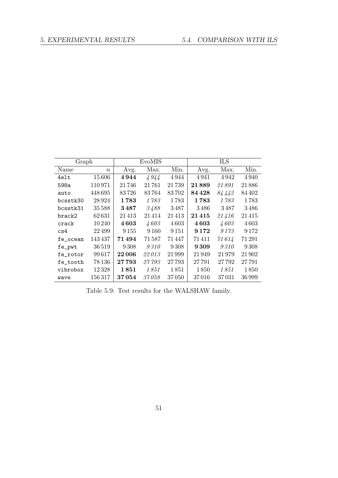| Graph    |                  |         | EvoMIS  |        | <b>ILS</b> |         |         |  |
|----------|------------------|---------|---------|--------|------------|---------|---------|--|
| Name     | $\boldsymbol{n}$ | Avg.    | Max.    | Min.   | Avg.       | Max.    | Min.    |  |
| 4elt     | 15606            | 4944    | 4944    | 4944   | 4941       | 4942    | 4940    |  |
| 598a     | 110971           | 21746   | 21761   | 21739  | 21889      | 21891   | 21886   |  |
| auto     | 448695           | 83726   | 83764   | 83702  | 84 4 28    | 84442   | 84 402  |  |
| bcsstk30 | 28924            | 1783    | 1783    | 1783   | 1783       | 1783    | 1783    |  |
| bcsstk31 | 35588            | 3487    | 3488    | 3487   | 3486       | 3487    | 3486    |  |
| brack2   | 62631            | 21413   | 21414   | 21413  | $21\,415$  | 21416   | 21415   |  |
| crack    | 10 240           | 4603    | 4603    | 4603   | 4603       | 4603    | 4603    |  |
| cs4      | 22499            | 9 1 5 5 | 9 1 6 0 | 9 15 1 | 9 1 7 2    | 9 1 7 3 | 9 1 7 2 |  |
| fe_ocean | 143437           | 71494   | 71587   | 71 447 | 71411      | 71614   | 71 291  |  |
| fe_pwt   | 36519            | 9308    | 9310    | 9308   | 9309       | 9310    | 9308    |  |
| fe_rotor | 99617            | 22006   | 22013   | 21999  | 21949      | 21979   | 21902   |  |
| fe_tooth | 78 136           | 27793   | 27793   | 27 793 | 27791      | 27 792  | 27791   |  |
| vibrobox | 12328            | 1851    | 1851    | 1851   | 1850       | 1851    | 1850    |  |
| wave     | 156317           | 37054   | 37058   | 37050  | 37016      | 37031   | 36 999  |  |

<span id="page-62-0"></span>Table 5.9: Test results for the WALSHAW family.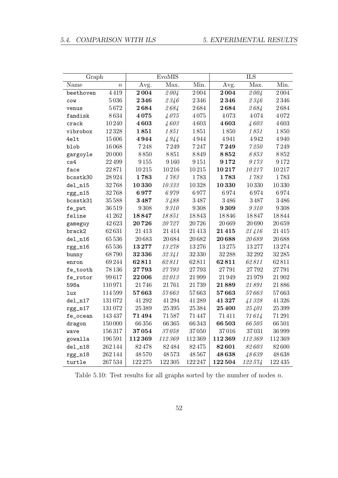<span id="page-63-0"></span>

|            | Graph            |                 | EvoMIS    |           | ILS      |               |           |  |
|------------|------------------|-----------------|-----------|-----------|----------|---------------|-----------|--|
| Name       | $\boldsymbol{n}$ | Avg.            | Max.      | Min.      | Avg.     | Max.          | Min.      |  |
| beethoven  | 4419             | 2004            | 2004      | $2\,004$  | 2004     | 2004          | 2004      |  |
| COW        | 5036             | 2346            | 2346      | $2\,346$  | 2346     | 2346          | 2346      |  |
| venus      | $5\,672$         | 2684            | 2684      | $2\,684$  | 2684     | 2684          | 2684      |  |
| fandisk    | 8634             | 4075            | 4075      | 4075      | 4073     | 4074          | 4072      |  |
| crack      | 10240            | 4603            | 4603      | 4603      | 4603     | 4603          | 4603      |  |
| vibrobox   | 12328            | 1851            | 1851      | 1851      | 1850     | 1851          | 1850      |  |
| 4elt       | 15606            | 4944            | 4944      | 4944      | 4941     | 4942          | 4940      |  |
| blob       | 16068            | 7248            | $7\,249$  | 7247      | 7249     | $7\,250$      | 7249      |  |
| gargoyle   | 20 000           | 8850            | 8851      | 8849      | $8\,852$ | $8\,853$      | 8852      |  |
| cs4        | 22 499           | 9155            | 9160      | $9\,151$  | 9172     | 9173          | 9172      |  |
| face       | 22871            | $10\,215$       | 10216     | $10\,215$ | 10217    | 10217         | 10217     |  |
| bcsstk30   | 28924            | 1783            | 1783      | 1783      | 1783     | 1783          | 1783      |  |
| del_n15    | 32768            | 10330           | $10\,333$ | 10328     | 10330    | 10330         | 10330     |  |
| rgg_n15    | 32768            | 6977            | 6979      | 6977      | 6974     | 6974          | 6974      |  |
| bcsstk31   | 35588            | 3487            | 3488      | 3487      | 3486     | 3487          | 3486      |  |
| fe_pwt     | 36519            | $9\,308$        | $9\,310$  | $9\,308$  | 9309     | $9\,310$      | 9308      |  |
| feline     | 41 262           | 18847           | 18851     | 18843     | 18846    | 18847         | 18844     |  |
| gameguy    | 42623            | $\bf 20 \, 726$ | 20727     | 20726     | 20669    | 20 690        | 20659     |  |
| brack2     | 62631            | 21413           | 21414     | $21\,413$ | 21415    | 21416         | $21\,415$ |  |
| $del\_n16$ | 65536            | 20683           | 20684     | $20\,682$ | 20688    | 20689         | 20688     |  |
| rgg_n16    | 65536            | 13277           | 13278     | 13276     | 13275    | 13277         | 13274     |  |
| bunny      | 68790            | 32336           | 32341     | 32330     | 32 288   | 32 29 2       | 32 285    |  |
| enron      | 69244            | 62811           | 62811     | 62811     | 62811    | 62811         | 62811     |  |
| fe_tooth   | 78136            | 27793           | 27793     | 27793     | 27791    | 27792         | 27791     |  |
| fe_rotor   | 99617            | 22006           | 22013     | 21999     | 21949    | 21979         | 21 902    |  |
| 598a       | 110971           | 21746           | 21761     | 21739     | 21889    | $\it 21\,891$ | 21886     |  |
| lux        | 114599           | 57663           | $57\,663$ | 57663     | 57663    | 57663         | 57663     |  |
| $del_n17$  | 131072           | 41 292          | 41294     | 41289     | 41327    | 41328         | 41326     |  |
| $rgg_n17$  | $131\,072$       | 25389           | $25\,395$ | 25 3 8 4  | 25 400   | 25401         | 25 399    |  |
| fe_ocean   | 143437           | 71494           | 71587     | $71\,447$ | 71411    | 71614         | 71 291    |  |
| dragon     | 150000           | 66356           | 66365     | 66343     | 66503    | $66\,505$     | 66501     |  |
| wave       | 156317           | 37054           | 37058     | 37050     | 37016    | 37031         | 36999     |  |
| gowalla    | 196591           | 112369          | 112369    | 112369    | 112369   | 112369        | 112369    |  |
| $del_n18$  | 262144           | 82478           | $82\,484$ | $82\,475$ | 82601    | 82603         | $82\,600$ |  |
| $rgg_n18$  | 262144           | 48570           | 48573     | 48567     | 48638    | 48639         | 48638     |  |
| turtle     | 267534           | 122 275         | 122 305   | 122 247   | 122504   | 122574        | 122435    |  |

Table 5.10: Test results for all graphs sorted by the number of nodes  $n$ .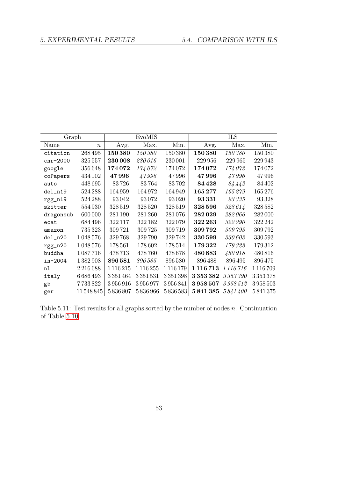| Graph      |                  |           | EvoMIS        |         |                 | <b>ILS</b>     |         |
|------------|------------------|-----------|---------------|---------|-----------------|----------------|---------|
| Name       | $\boldsymbol{n}$ | Avg.      | Max.          | Min.    | Avg.            | Max.           | Min.    |
| citation   | 268495           | 150380    | 150380        | 150 380 | 150380          | <i>150 380</i> | 150380  |
| $cnr-2000$ | 325 557          | 230 008   | 230016        | 230 001 | 229 956         | 229 965        | 229943  |
| google     | 356648           | 174072    | 174072        | 174072  | 174072          | 174072         | 174072  |
| coPapers   | 434 102          | 47996     | 47996         | 47996   | 47996           | 47996          | 47996   |
| auto       | 448695           | 83726     | 83764         | 83702   | 84 4 28         | 84442          | 84 402  |
| $del_n19$  | 524 288          | 164959    | 164972        | 164949  | 165277          | 165279         | 165276  |
| rgg_n19    | 524 288          | 93042     | 93072         | 93 0 20 | 93331           | 93335          | 93328   |
| skitter    | 554930           | 328519    | 328 520       | 328519  | 328 596         | 328614         | 328582  |
| dragonsub  | 600 000          | 281 190   | 281 260       | 281076  | 282029          | 282066         | 282000  |
| ecat       | 684 496          | 322117    | 322 182       | 322079  | 322 263         | 322 290        | 322 242 |
| amazon     | 735323           | 309721    | 309725        | 309719  | 309792          | 309 793        | 309792  |
| $del_n20$  | 1048576          | 329768    | 329790        | 329742  | 330 599         | 330603         | 330 593 |
| $rgg_n20$  | 1048576          | 178561    | 178602        | 178514  | 179322          | 179328         | 179312  |
| buddha     | 1087716          | 478713    | 478760        | 478678  | 480883          | 480918         | 480816  |
| in-2004    | 1382908          | 896581    | 896585        | 896580  | 896488          | 896495         | 896475  |
| nl         | 2216688          | 1116215   | 1 1 1 6 2 5 5 | 1116179 | 1 1 1 6 7 1 3   | 1 116 716      | 1116709 |
| italy      | 6686493          | 3351464   | 3351531       | 3351398 | 3353382         | 3353390        | 3353378 |
| gb         | 7733822          | 3956916   | 3956977       | 3956841 | 3958507         | 3958512        | 3958503 |
| ger        | 11548845         | 5 836 807 | 5836966       | 5836583 | 5841385 5841400 |                | 5841375 |

<span id="page-64-0"></span>Table 5.11: Test results for all graphs sorted by the number of nodes  $n$ . Continuation of Table [5.10.](#page-63-0)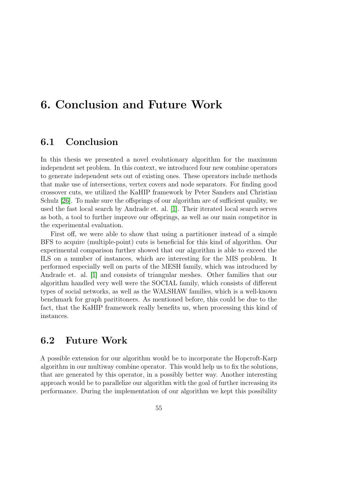## 6. Conclusion and Future Work

#### 6.1 Conclusion

In this thesis we presented a novel evolutionary algorithm for the maximum independent set problem. In this context, we introduced four new combine operators to generate independent sets out of existing ones. These operators include methods that make use of intersections, vertex covers and node separators. For finding good crossover cuts, we utilized the KaHIP framework by Peter Sanders and Christian Schulz [\[26\]](#page-76-5). To make sure the offsprings of our algorithm are of sufficient quality, we used the fast local search by Andrade et. al. [\[1\]](#page-74-1). Their iterated local search serves as both, a tool to further improve our offsprings, as well as our main competitor in the experimental evaluation.

First off, we were able to show that using a partitioner instead of a simple BFS to acquire (multiple-point) cuts is beneficial for this kind of algorithm. Our experimental comparison further showed that our algorithm is able to exceed the ILS on a number of instances, which are interesting for the MIS problem. It performed especially well on parts of the MESH family, which was introduced by Andrade et. al. [\[1\]](#page-74-1) and consists of triangular meshes. Other families that our algorithm handled very well were the SOCIAL family, which consists of different types of social networks, as well as the WALSHAW families, which is a well-known benchmark for graph parititoners. As mentioned before, this could be due to the fact, that the KaHIP framework really benefits us, when processing this kind of instances.

### 6.2 Future Work

A possible extension for our algorithm would be to incorporate the Hopcroft-Karp algorithm in our multiway combine operator. This would help us to fix the solutions, that are generated by this operator, in a possibly better way. Another interesting approach would be to parallelize our algorithm with the goal of further increasing its performance. During the implementation of our algorithm we kept this possibility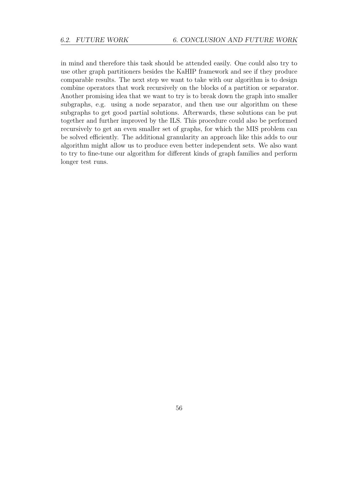in mind and therefore this task should be attended easily. One could also try to use other graph partitioners besides the KaHIP framework and see if they produce comparable results. The next step we want to take with our algorithm is to design combine operators that work recursively on the blocks of a partition or separator. Another promising idea that we want to try is to break down the graph into smaller subgraphs, e.g. using a node separator, and then use our algorithm on these subgraphs to get good partial solutions. Afterwards, these solutions can be put together and further improved by the ILS. This procedure could also be performed recursively to get an even smaller set of graphs, for which the MIS problem can be solved efficiently. The additional granularity an approach like this adds to our algorithm might allow us to produce even better independent sets. We also want to try to fine-tune our algorithm for different kinds of graph families and perform longer test runs.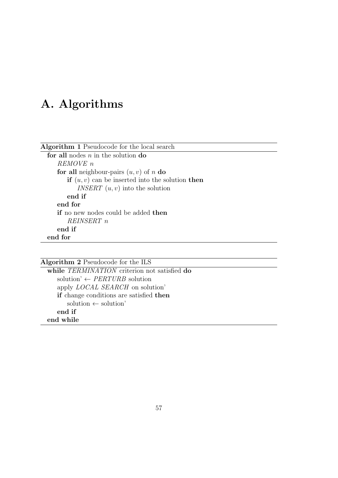# A. Algorithms

| <b>Algorithm 1</b> Pseudocode for the local search |
|----------------------------------------------------|
| for all nodes $n$ in the solution do               |
| REMOVE n                                           |
| for all neighbour-pairs $(u, v)$ of n do           |
| if $(u, v)$ can be inserted into the solution then |
| <i>INSERT</i> $(u, v)$ into the solution           |
| end if                                             |
| end for                                            |
| <b>if</b> no new nodes could be added <b>then</b>  |
| REINSERT <sub>n</sub>                              |
| end if                                             |
| end for                                            |
|                                                    |
|                                                    |

#### Algorithm 2 Pseudocode for the ILS while TERMINATION criterion not satisfied do solution'  $\leftarrow \text{PERTURB}$  solution apply LOCAL SEARCH on solution' if change conditions are satisfied then  $solution \leftarrow solution'$

end if

end while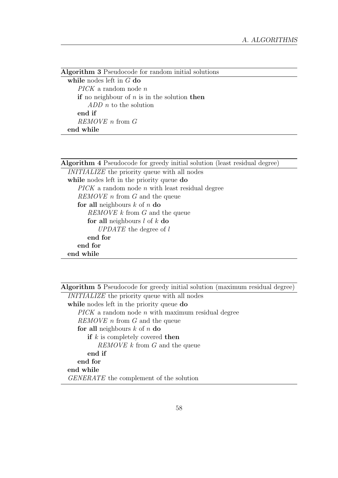| <b>Algorithm 3</b> Pseudocode for random initial solutions |
|------------------------------------------------------------|
| while nodes left in $G$ do                                 |
| $PICK$ a random node n                                     |
| if no neighbour of $n$ is in the solution then             |
| $ADD$ <i>n</i> to the solution                             |
| end if                                                     |
| $REMOVE$ <i>n</i> from $G$                                 |
| end while                                                  |

| <b>Algorithm 4</b> Pseudocode for greedy initial solution (least residual degree) |
|-----------------------------------------------------------------------------------|
| <i>INITIALIZE</i> the priority queue with all nodes                               |
| while nodes left in the priority queue do                                         |
| $PICK$ a random node <i>n</i> with least residual degree                          |
| <i>REMOVE n</i> from <i>G</i> and the queue                                       |
| for all neighbours $k$ of $n$ do                                                  |
| <i>REMOVE</i> k from G and the queue                                              |
| for all neighbours $l$ of $k$ do                                                  |
| UPDATE the degree of l                                                            |
| end for                                                                           |
| end for                                                                           |
| end while                                                                         |
|                                                                                   |

Algorithm 5 Pseudocode for greedy initial solution (maximum residual degree)

| <i>INITIALIZE</i> the priority queue with all nodes |
|-----------------------------------------------------|
| while nodes left in the priority queue do           |
| $PICK$ a random node n with maximum residual degree |
| <i>REMOVE n</i> from <i>G</i> and the queue         |
| for all neighbours $k$ of $n$ do                    |
| if $k$ is completely covered then                   |
| <i>REMOVE</i> k from G and the queue                |
| end if                                              |
| end for                                             |
| end while                                           |
| <i>GENERATE</i> the complement of the solution      |
|                                                     |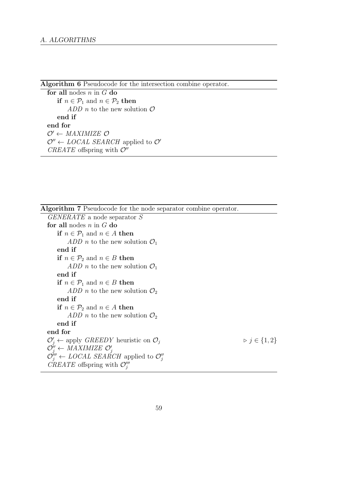Algorithm 6 Pseudocode for the intersection combine operator.

for all nodes  $n$  in  $G$  do if  $n \in \mathcal{P}_1$  and  $n \in \mathcal{P}_2$  then ADD n to the new solution  $\mathcal O$ end if end for  $O' \leftarrow MAXIMIZE$   $O$  $\mathcal{O}'' \leftarrow \textit{LOCAL}$  SEARCH applied to  $\mathcal{O}'$ CREATE offspring with  $\mathcal{O}''$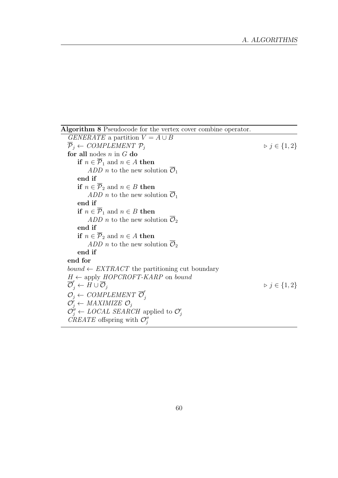Algorithm 8 Pseudocode for the vertex cover combine operator.  $GENERATE$  a partition  $V = A \cup B$  $\overline{\mathcal{P}}_i \leftarrow \text{COMPLEMENT } \mathcal{P}_i$   $\triangleright j \in \{1, 2\}$ for all nodes  $n$  in  $G$  do if  $n \in \overline{P}_1$  and  $n \in A$  then ADD *n* to the new solution  $\overline{\mathcal{O}}_1$ end if if  $n \in \overline{P}_2$  and  $n \in B$  then ADD *n* to the new solution  $\overline{\mathcal{O}}_1$ end if if  $n \in \overline{P}_1$  and  $n \in B$  then ADD *n* to the new solution  $\overline{\mathcal{O}}_2$ end if if  $n \in \overline{P}_2$  and  $n \in A$  then ADD *n* to the new solution  $\overline{\mathcal{O}}_2$ end if end for bound  $\leftarrow EXTRACT$  the partitioning cut boundary  $H \leftarrow$  apply HOPCROFT-KARP on bound  $\overline{\mathcal{O}}'_j \leftarrow H \cup \overline{\mathcal{O}}_j$  .  $\triangleright j \in \{1, 2\}$  $\mathcal{O}_j \leftarrow \textit{COMPLEMENT}$  $\mathcal{O}'_j \leftarrow \text{MAXIMIZE } \mathcal{O}_j$  $\mathcal{O}_{j}^{"} \leftarrow \text{LOCAL} \text{ SEARCH}$  applied to  $\mathcal{O}_{j}^{\prime}$  $\textit{C}\textit{REATE}$  offspring with  $\mathcal{O}''_j$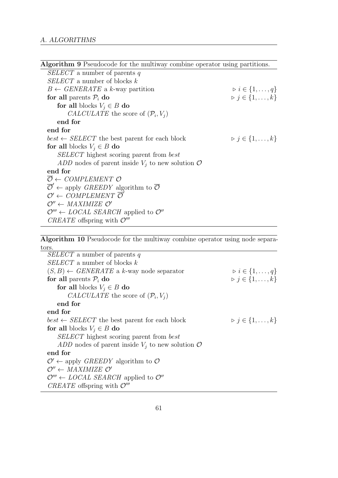| <b>Algorithm 9</b> Pseudocode for the multiway combine operator using partitions.              |                                         |
|------------------------------------------------------------------------------------------------|-----------------------------------------|
| <i>SELECT</i> a number of parents q                                                            |                                         |
| $SELECT$ a number of blocks k                                                                  |                                         |
| $B \leftarrow$ GENERATE a k-way partition                                                      | $\triangleright i \in \{1,\ldots,q\}$   |
| for all parents $P_i$ do                                                                       | $\triangleright j \in \{1, \ldots, k\}$ |
| for all blocks $V_i \in B$ do                                                                  |                                         |
| <i>CALCULATE</i> the score of $(\mathcal{P}_i, V_i)$                                           |                                         |
| end for                                                                                        |                                         |
| end for                                                                                        |                                         |
| $best \leftarrow SELECT$ the best parent for each block                                        | $\triangleright j \in \{1, \ldots, k\}$ |
| for all blocks $V_i \in B$ do                                                                  |                                         |
| <i>SELECT</i> highest scoring parent from <i>best</i>                                          |                                         |
| ADD nodes of parent inside $V_i$ to new solution $\mathcal O$                                  |                                         |
| end for                                                                                        |                                         |
| $\overline{\mathcal{O}} \leftarrow \textit{COMPLEMENT} \ \mathcal{O}$                          |                                         |
| $\overline{\mathcal{O}}' \leftarrow$ apply <i>GREEDY</i> algorithm to $\overline{\mathcal{O}}$ |                                         |
| $\mathcal{O}' \leftarrow \text{COMPLEMENT } \overline{\mathcal{O}}'$                           |                                         |
| $\mathcal{O}'' \leftarrow MAXIMIZE \ \mathcal{O}'$                                             |                                         |
| $\mathcal{O}''' \leftarrow \text{LOCAL}$ SEARCH applied to $\mathcal{O}''$                     |                                         |
| <i>CREATE</i> offspring with $\mathcal{O}'''$                                                  |                                         |

Algorithm 10 Pseudocode for the multiway combine operator using node separators.

| <i>SELECT</i> a number of parents q                                        |                                         |
|----------------------------------------------------------------------------|-----------------------------------------|
| $SELECT$ a number of blocks k                                              |                                         |
| $(S, B) \leftarrow$ GENERATE a k-way node separator                        | $\triangleright i \in \{1,\ldots,q\}$   |
| for all parents $P_i$ do                                                   | $\triangleright j \in \{1, \ldots, k\}$ |
| for all blocks $V_i \in B$ do                                              |                                         |
| <i>CALCULATE</i> the score of $(\mathcal{P}_i, V_i)$                       |                                         |
| end for                                                                    |                                         |
| end for                                                                    |                                         |
| $best \leftarrow SELECT$ the best parent for each block                    | $\triangleright j \in \{1, \ldots, k\}$ |
| for all blocks $V_i \in B$ do                                              |                                         |
| SELECT highest scoring parent from best                                    |                                         |
| ADD nodes of parent inside $V_i$ to new solution $\mathcal O$              |                                         |
| end for                                                                    |                                         |
| $\mathcal{O}' \leftarrow$ apply <i>GREEDY</i> algorithm to $\mathcal{O}$   |                                         |
| $\mathcal{O}^{\prime\prime} \leftarrow MAXIMIZE \ \mathcal{O}^{\prime}$    |                                         |
| $\mathcal{O}''' \leftarrow \text{LOCAL}$ SEARCH applied to $\mathcal{O}''$ |                                         |
| <i>CREATE</i> offspring with $\mathcal{O}'''$                              |                                         |
|                                                                            |                                         |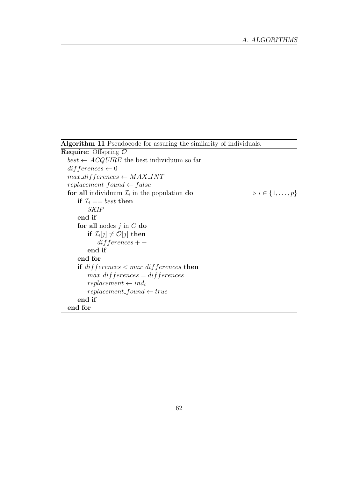Algorithm 11 Pseudocode for assuring the similarity of individuals.

```
Require: Offspring O
best \leftarrow ACQUIRE the best individuum so far
differences \leftarrow 0max\_differences \leftarrow MAX\_INTreplacement\_found \leftarrow falsefor all individuum \mathcal{I}_i in the population do \flat i i \in \{1, \ldots, p\}if \mathcal{I}_i == best then
        SKIP
    end if
    for all nodes j in G do
        if \mathcal{I}_{i}[j] \neq \mathcal{O}[j] then
            differences + +end if
    end for
    if differences < max_d differences then
        max\_differences = differences
        replacement \leftarrow ind_ireplacement\_found \leftarrow trueend if
end for
```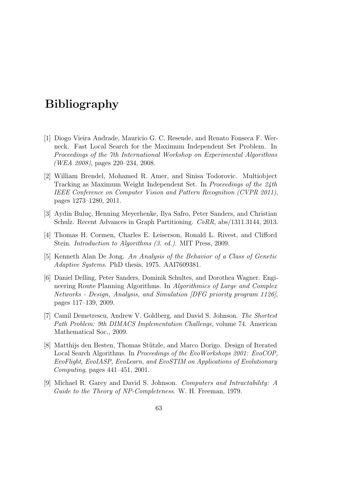## Bibliography

- [1] Diogo Vieira Andrade, Mauricio G. C. Resende, and Renato Fonseca F. Werneck. Fast Local Search for the Maximum Independent Set Problem. In Proceedings of the 7th International Workshop on Experimental Algorithms (WEA 2008), pages 220–234, 2008.
- [2] William Brendel, Mohamed R. Amer, and Sinisa Todorovic. Multiobject Tracking as Maximum Weight Independent Set. In *Proceedings of the 24th* IEEE Conference on Computer Vision and Pattern Recognition (CVPR 2011), pages 1273–1280, 2011.
- [3] Aydin Buluç, Henning Meyerhenke, Ilya Safro, Peter Sanders, and Christian Schulz. Recent Advances in Graph Partitioning. CoRR, abs/1311.3144, 2013.
- [4] Thomas H. Cormen, Charles E. Leiserson, Ronald L. Rivest, and Clifford Stein. *Introduction to Algorithms (3. ed.)*. MIT Press, 2009.
- [5] Kenneth Alan De Jong. An Analysis of the Behavior of a Class of Genetic Adaptive Systems. PhD thesis, 1975. AAI7609381.
- [6] Daniel Delling, Peter Sanders, Dominik Schultes, and Dorothea Wagner. Engineering Route Planning Algorithms. In Algorithmics of Large and Complex Networks - Design, Analysis, and Simulation [DFG priority program 1126], pages 117–139, 2009.
- [7] Camil Demetrescu, Andrew V. Goldberg, and David S. Johnson. The Shortest Path Problem: 9th DIMACS Implementation Challenge, volume 74. American Mathematical Soc., 2009.
- [8] Matthijs den Besten, Thomas Stützle, and Marco Dorigo. Design of Iterated Local Search Algorithms. In Proceedings of the EvoWorkshops 2001: EvoCOP, EvoFlight, EvoIASP, EvoLearn, and EvoSTIM on Applications of Evolutionary Computing, pages 441–451, 2001.
- [9] Michael R. Garey and David S. Johnson. Computers and Intractability: A Guide to the Theory of NP-Completeness. W. H. Freeman, 1979.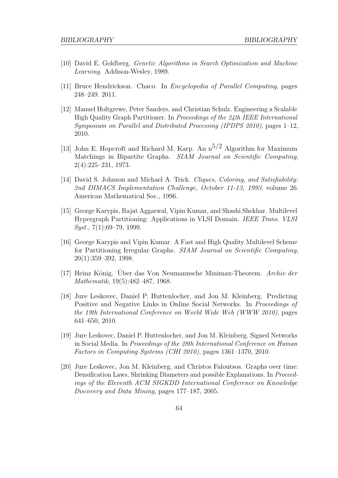- [10] David E. Goldberg. Genetic Algorithms in Search Optimization and Machine Learning. Addison-Wesley, 1989.
- [11] Bruce Hendrickson. Chaco. In Encyclopedia of Parallel Computing, pages 248–249. 2011.
- [12] Manuel Holtgrewe, Peter Sanders, and Christian Schulz. Engineering a Scalable High Quality Graph Partitioner. In Proceedings of the 24th IEEE International Symposium on Parallel and Distributed Processing (IPDPS 2010), pages 1–12, 2010.
- [13] John E. Hopcroft and Richard M. Karp. An  $n^{5/2}$  Algorithm for Maximum Matchings in Bipartite Graphs. SIAM Journal on Scientific Computing, 2(4):225–231, 1973.
- [14] David S. Johnson and Michael A. Trick. *Cliques, Coloring, and Satisfiability:* 2nd DIMACS Implementation Challenge, October 11-13, 1993, volume 26. American Mathematical Soc., 1996.
- [15] George Karypis, Rajat Aggarwal, Vipin Kumar, and Shashi Shekhar. Multilevel Hypergraph Partitioning: Applications in VLSI Domain. IEEE Trans. VLSI  $Sust.$ , 7(1):69–79, 1999.
- [16] George Karypis and Vipin Kumar. A Fast and High Quality Multilevel Scheme for Partitioning Irregular Graphs. SIAM Journal on Scientific Computing, 20(1):359–392, 1998.
- [17] Heinz König. Über das Von Neumannsche Minimax-Theorem. Archiv der Mathematik, 19(5):482–487, 1968.
- [18] Jure Leskovec, Daniel P. Huttenlocher, and Jon M. Kleinberg. Predicting Positive and Negative Links in Online Social Networks. In Proceedings of the 19th International Conference on World Wide Web (WWW 2010), pages 641–650, 2010.
- [19] Jure Leskovec, Daniel P. Huttenlocher, and Jon M. Kleinberg. Signed Networks in Social Media. In Proceedings of the 28th International Conference on Human Factors in Computing Systems (CHI 2010), pages 1361–1370, 2010.
- [20] Jure Leskovec, Jon M. Kleinberg, and Christos Faloutsos. Graphs over time: Densification Laws, Shrinking Diameters and possible Explanations. In Proceedings of the Eleventh ACM SIGKDD International Conference on Knowledge Discovery and Data Mining, pages 177–187, 2005.